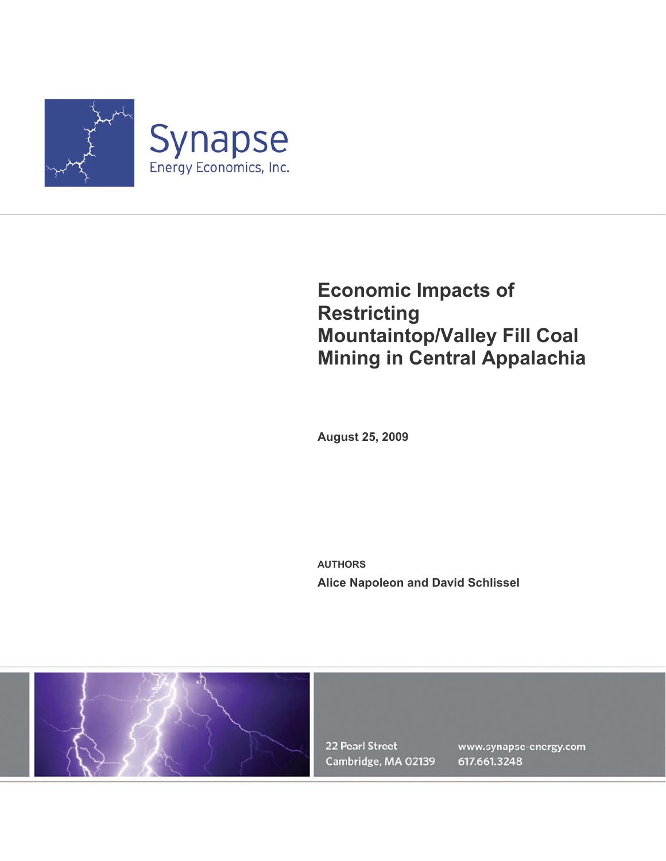

# **Economic Impacts of Restricting Mountaintop/Valley Fill Coal Mining in Central Appalachia**

**August 25, 2009** 

**AUTHORS Alice Napoleon and David Schlissel** 



22 Pearl Street Cambridge, MA 02139

www.synapse-energy.com 617.661.3248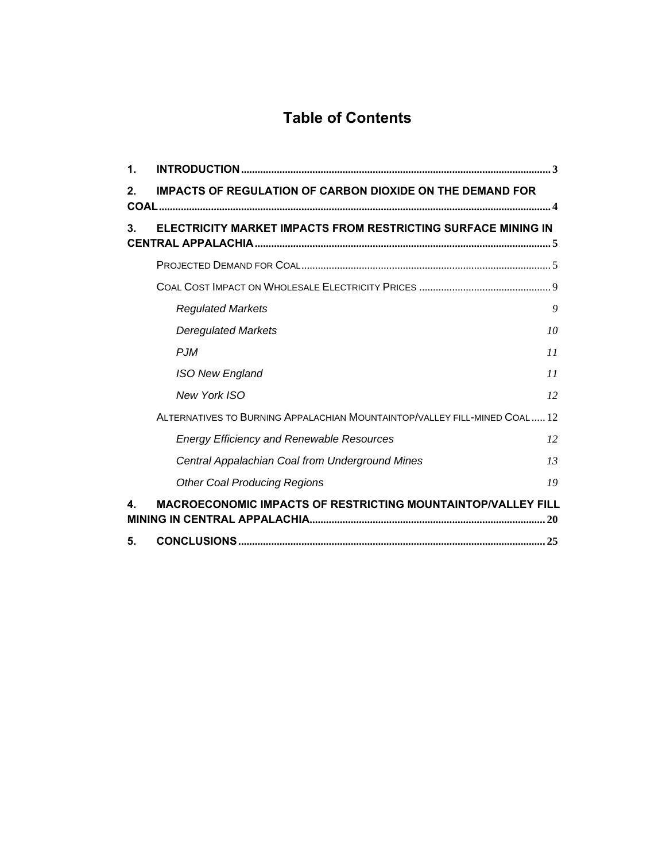# **Table of Contents**

| 1.             |                                                                            |    |
|----------------|----------------------------------------------------------------------------|----|
| 2 <sub>1</sub> | <b>IMPACTS OF REGULATION OF CARBON DIOXIDE ON THE DEMAND FOR</b>           |    |
| 3.             | ELECTRICITY MARKET IMPACTS FROM RESTRICTING SURFACE MINING IN              |    |
|                |                                                                            |    |
|                |                                                                            |    |
|                | <b>Regulated Markets</b>                                                   | 9  |
|                | <b>Deregulated Markets</b>                                                 | 10 |
|                | $P$ .JM                                                                    | 11 |
|                | <b>ISO New England</b>                                                     | 11 |
|                | New York ISO                                                               | 12 |
|                | ALTERNATIVES TO BURNING APPALACHIAN MOUNTAINTOP/VALLEY FILL-MINED COAL  12 |    |
|                | <b>Energy Efficiency and Renewable Resources</b>                           | 12 |
|                | Central Appalachian Coal from Underground Mines                            | 13 |
|                | <b>Other Coal Producing Regions</b>                                        | 19 |
| 4              | MACROECONOMIC IMPACTS OF RESTRICTING MOUNTAINTOP/VALLEY FILL               |    |
| 5.             |                                                                            |    |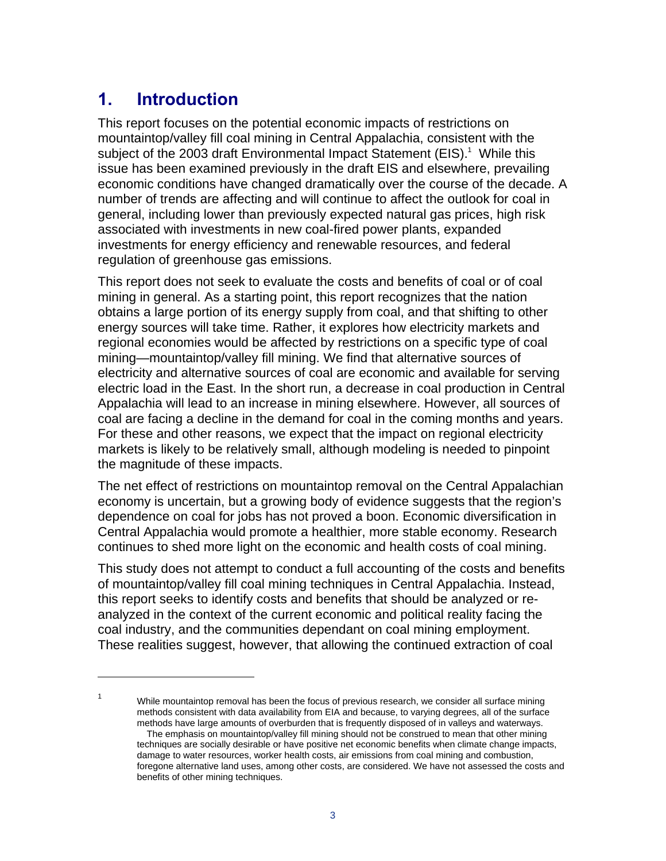# **1. Introduction**

This report focuses on the potential economic impacts of restrictions on mountaintop/valley fill coal mining in Central Appalachia, consistent with the subject of the 2003 draft Environmental Impact Statement (EIS).<sup>1</sup> While this issue has been examined previously in the draft EIS and elsewhere, prevailing economic conditions have changed dramatically over the course of the decade. A number of trends are affecting and will continue to affect the outlook for coal in general, including lower than previously expected natural gas prices, high risk associated with investments in new coal-fired power plants, expanded investments for energy efficiency and renewable resources, and federal regulation of greenhouse gas emissions.

This report does not seek to evaluate the costs and benefits of coal or of coal mining in general. As a starting point, this report recognizes that the nation obtains a large portion of its energy supply from coal, and that shifting to other energy sources will take time. Rather, it explores how electricity markets and regional economies would be affected by restrictions on a specific type of coal mining—mountaintop/valley fill mining. We find that alternative sources of electricity and alternative sources of coal are economic and available for serving electric load in the East. In the short run, a decrease in coal production in Central Appalachia will lead to an increase in mining elsewhere. However, all sources of coal are facing a decline in the demand for coal in the coming months and years. For these and other reasons, we expect that the impact on regional electricity markets is likely to be relatively small, although modeling is needed to pinpoint the magnitude of these impacts.

The net effect of restrictions on mountaintop removal on the Central Appalachian economy is uncertain, but a growing body of evidence suggests that the region's dependence on coal for jobs has not proved a boon. Economic diversification in Central Appalachia would promote a healthier, more stable economy. Research continues to shed more light on the economic and health costs of coal mining.

This study does not attempt to conduct a full accounting of the costs and benefits of mountaintop/valley fill coal mining techniques in Central Appalachia. Instead, this report seeks to identify costs and benefits that should be analyzed or reanalyzed in the context of the current economic and political reality facing the coal industry, and the communities dependant on coal mining employment. These realities suggest, however, that allowing the continued extraction of coal

 While mountaintop removal has been the focus of previous research, we consider all surface mining methods consistent with data availability from EIA and because, to varying degrees, all of the surface methods have large amounts of overburden that is frequently disposed of in valleys and waterways.

 $\overline{a}$ 1

The emphasis on mountaintop/valley fill mining should not be construed to mean that other mining techniques are socially desirable or have positive net economic benefits when climate change impacts, damage to water resources, worker health costs, air emissions from coal mining and combustion, foregone alternative land uses, among other costs, are considered. We have not assessed the costs and benefits of other mining techniques.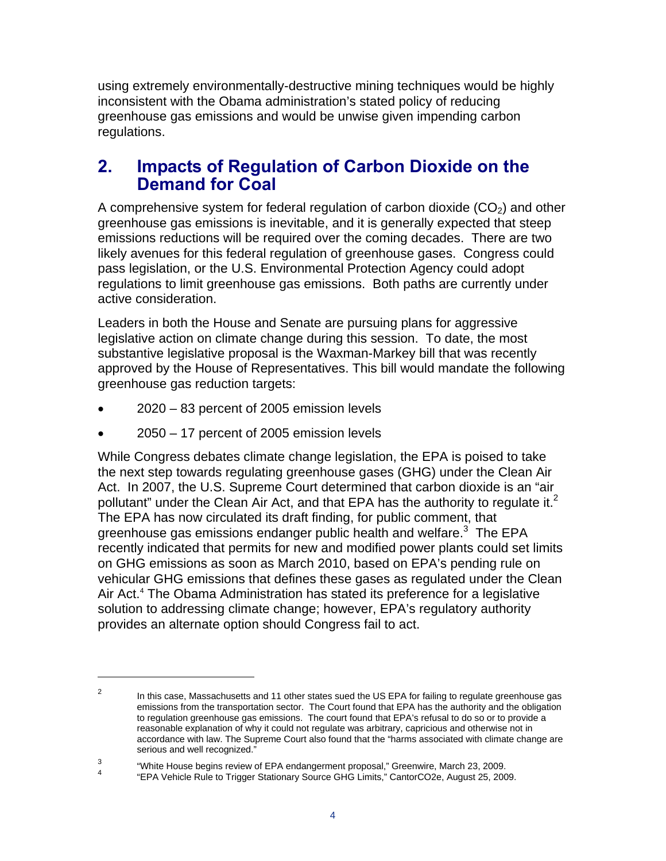using extremely environmentally-destructive mining techniques would be highly inconsistent with the Obama administration's stated policy of reducing greenhouse gas emissions and would be unwise given impending carbon regulations.

## **2. Impacts of Regulation of Carbon Dioxide on the Demand for Coal**

A comprehensive system for federal regulation of carbon dioxide  $(CO<sub>2</sub>)$  and other greenhouse gas emissions is inevitable, and it is generally expected that steep emissions reductions will be required over the coming decades. There are two likely avenues for this federal regulation of greenhouse gases. Congress could pass legislation, or the U.S. Environmental Protection Agency could adopt regulations to limit greenhouse gas emissions. Both paths are currently under active consideration.

Leaders in both the House and Senate are pursuing plans for aggressive legislative action on climate change during this session. To date, the most substantive legislative proposal is the Waxman-Markey bill that was recently approved by the House of Representatives. This bill would mandate the following greenhouse gas reduction targets:

- 2020 83 percent of 2005 emission levels
- 2050 17 percent of 2005 emission levels

 $\overline{a}$ 

While Congress debates climate change legislation, the EPA is poised to take the next step towards regulating greenhouse gases (GHG) under the Clean Air Act. In 2007, the U.S. Supreme Court determined that carbon dioxide is an "air pollutant" under the Clean Air Act, and that EPA has the authority to regulate it.<sup>2</sup> The EPA has now circulated its draft finding, for public comment, that greenhouse gas emissions endanger public health and welfare. $3$  The EPA recently indicated that permits for new and modified power plants could set limits on GHG emissions as soon as March 2010, based on EPA's pending rule on vehicular GHG emissions that defines these gases as regulated under the Clean Air Act.<sup>4</sup> The Obama Administration has stated its preference for a legislative solution to addressing climate change; however, EPA's regulatory authority provides an alternate option should Congress fail to act.

3 "White House begins review of EPA endangerment proposal," Greenwire, March 23, 2009.

 $\mathfrak{p}$  In this case, Massachusetts and 11 other states sued the US EPA for failing to regulate greenhouse gas emissions from the transportation sector. The Court found that EPA has the authority and the obligation to regulation greenhouse gas emissions. The court found that EPA's refusal to do so or to provide a reasonable explanation of why it could not regulate was arbitrary, capricious and otherwise not in accordance with law. The Supreme Court also found that the "harms associated with climate change are serious and well recognized."

<sup>4</sup> "EPA Vehicle Rule to Trigger Stationary Source GHG Limits," CantorCO2e, August 25, 2009.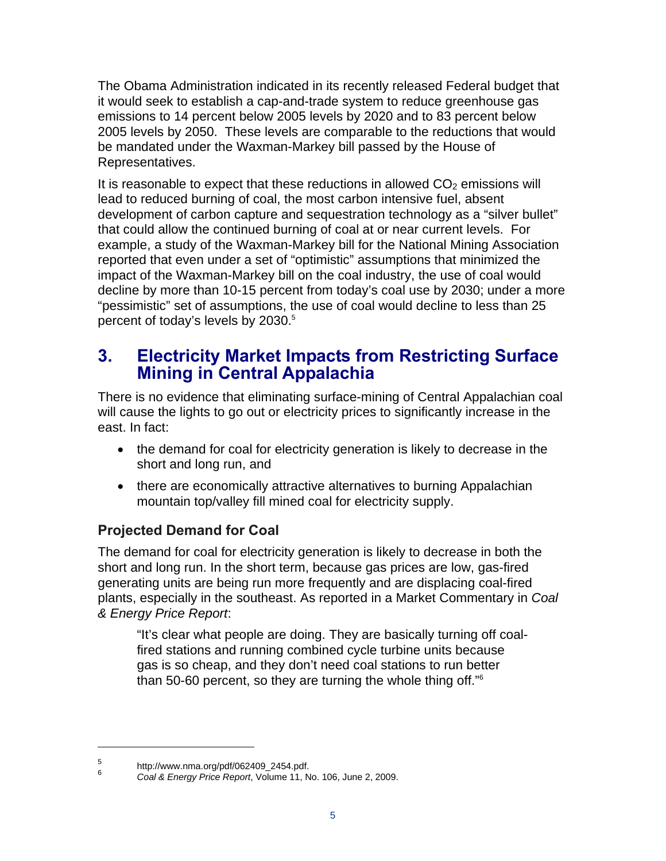The Obama Administration indicated in its recently released Federal budget that it would seek to establish a cap-and-trade system to reduce greenhouse gas emissions to 14 percent below 2005 levels by 2020 and to 83 percent below 2005 levels by 2050. These levels are comparable to the reductions that would be mandated under the Waxman-Markey bill passed by the House of Representatives.

It is reasonable to expect that these reductions in allowed  $CO<sub>2</sub>$  emissions will lead to reduced burning of coal, the most carbon intensive fuel, absent development of carbon capture and sequestration technology as a "silver bullet" that could allow the continued burning of coal at or near current levels. For example, a study of the Waxman-Markey bill for the National Mining Association reported that even under a set of "optimistic" assumptions that minimized the impact of the Waxman-Markey bill on the coal industry, the use of coal would decline by more than 10-15 percent from today's coal use by 2030; under a more "pessimistic" set of assumptions, the use of coal would decline to less than 25 percent of today's levels by 2030.<sup>5</sup>

## **3. Electricity Market Impacts from Restricting Surface Mining in Central Appalachia**

There is no evidence that eliminating surface-mining of Central Appalachian coal will cause the lights to go out or electricity prices to significantly increase in the east. In fact:

- the demand for coal for electricity generation is likely to decrease in the short and long run, and
- there are economically attractive alternatives to burning Appalachian mountain top/valley fill mined coal for electricity supply.

## **Projected Demand for Coal**

The demand for coal for electricity generation is likely to decrease in both the short and long run. In the short term, because gas prices are low, gas-fired generating units are being run more frequently and are displacing coal-fired plants, especially in the southeast. As reported in a Market Commentary in *Coal & Energy Price Report*:

"It's clear what people are doing. They are basically turning off coalfired stations and running combined cycle turbine units because gas is so cheap, and they don't need coal stations to run better than 50-60 percent, so they are turning the whole thing off."6

<sup>5</sup> http://www.nma.org/pdf/062409\_2454.pdf.

<sup>6</sup> *Coal & Energy Price Report*, Volume 11, No. 106, June 2, 2009.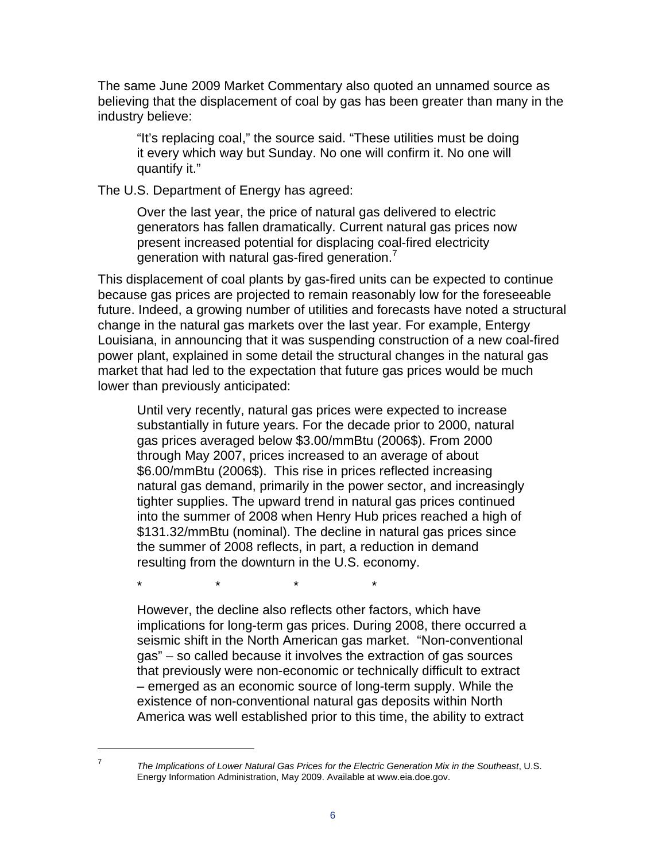The same June 2009 Market Commentary also quoted an unnamed source as believing that the displacement of coal by gas has been greater than many in the industry believe:

"It's replacing coal," the source said. "These utilities must be doing it every which way but Sunday. No one will confirm it. No one will quantify it."

The U.S. Department of Energy has agreed:

Over the last year, the price of natural gas delivered to electric generators has fallen dramatically. Current natural gas prices now present increased potential for displacing coal-fired electricity generation with natural gas-fired generation.<sup>7</sup>

This displacement of coal plants by gas-fired units can be expected to continue because gas prices are projected to remain reasonably low for the foreseeable future. Indeed, a growing number of utilities and forecasts have noted a structural change in the natural gas markets over the last year. For example, Entergy Louisiana, in announcing that it was suspending construction of a new coal-fired power plant, explained in some detail the structural changes in the natural gas market that had led to the expectation that future gas prices would be much lower than previously anticipated:

Until very recently, natural gas prices were expected to increase substantially in future years. For the decade prior to 2000, natural gas prices averaged below \$3.00/mmBtu (2006\$). From 2000 through May 2007, prices increased to an average of about \$6.00/mmBtu (2006\$). This rise in prices reflected increasing natural gas demand, primarily in the power sector, and increasingly tighter supplies. The upward trend in natural gas prices continued into the summer of 2008 when Henry Hub prices reached a high of \$131.32/mmBtu (nominal). The decline in natural gas prices since the summer of 2008 reflects, in part, a reduction in demand resulting from the downturn in the U.S. economy.

\* \* \* \*

However, the decline also reflects other factors, which have implications for long-term gas prices. During 2008, there occurred a seismic shift in the North American gas market. "Non-conventional gas" – so called because it involves the extraction of gas sources that previously were non-economic or technically difficult to extract – emerged as an economic source of long-term supply. While the existence of non-conventional natural gas deposits within North America was well established prior to this time, the ability to extract

*The Implications of Lower Natural Gas Prices for the Electric Generation Mix in the Southeast*, U.S. Energy Information Administration, May 2009. Available at www.eia.doe.gov.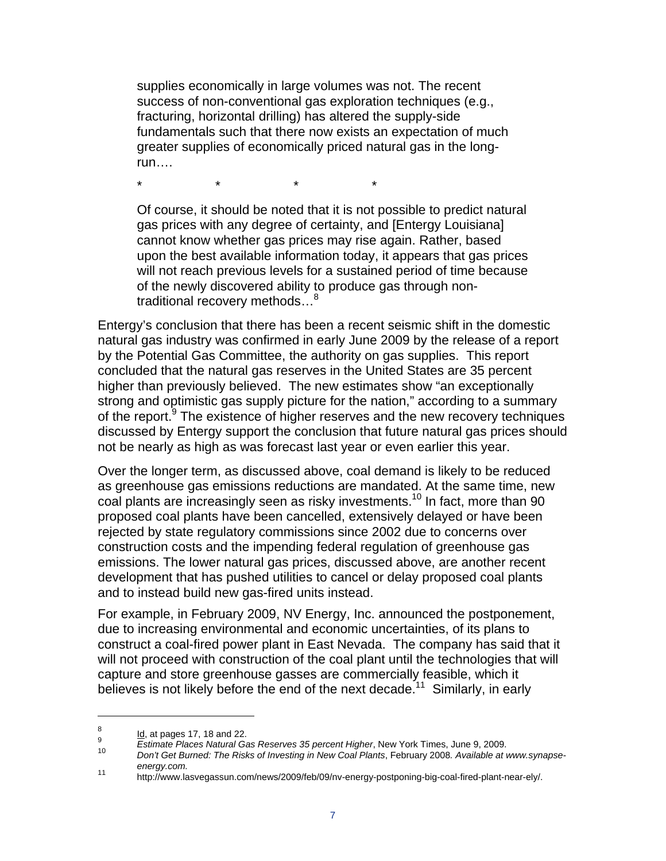supplies economically in large volumes was not. The recent success of non-conventional gas exploration techniques (e.g., fracturing, horizontal drilling) has altered the supply-side fundamentals such that there now exists an expectation of much greater supplies of economically priced natural gas in the longrun….

\* \* \* \*

Of course, it should be noted that it is not possible to predict natural gas prices with any degree of certainty, and [Entergy Louisiana] cannot know whether gas prices may rise again. Rather, based upon the best available information today, it appears that gas prices will not reach previous levels for a sustained period of time because of the newly discovered ability to produce gas through nontraditional recovery methods...<sup>8</sup>

Entergy's conclusion that there has been a recent seismic shift in the domestic natural gas industry was confirmed in early June 2009 by the release of a report by the Potential Gas Committee, the authority on gas supplies. This report concluded that the natural gas reserves in the United States are 35 percent higher than previously believed. The new estimates show "an exceptionally strong and optimistic gas supply picture for the nation," according to a summary of the report.<sup>9</sup> The existence of higher reserves and the new recovery techniques discussed by Entergy support the conclusion that future natural gas prices should not be nearly as high as was forecast last year or even earlier this year.

Over the longer term, as discussed above, coal demand is likely to be reduced as greenhouse gas emissions reductions are mandated. At the same time, new coal plants are increasingly seen as risky investments.<sup>10</sup> In fact, more than 90 proposed coal plants have been cancelled, extensively delayed or have been rejected by state regulatory commissions since 2002 due to concerns over construction costs and the impending federal regulation of greenhouse gas emissions. The lower natural gas prices, discussed above, are another recent development that has pushed utilities to cancel or delay proposed coal plants and to instead build new gas-fired units instead.

For example, in February 2009, NV Energy, Inc. announced the postponement, due to increasing environmental and economic uncertainties, of its plans to construct a coal-fired power plant in East Nevada. The company has said that it will not proceed with construction of the coal plant until the technologies that will capture and store greenhouse gasses are commercially feasible, which it believes is not likely before the end of the next decade.<sup>11</sup> Similarly, in early

<sup>8</sup>

<sup>° &</sup>lt;u>ld</u>, at pages 17, 18 and 22.<br>9 *Estimate Places Natural Gas Reserves 35 percent Higher*, New York Times, June 9, 2009.

*Estimate Places Natural Gas Reserves 35 percent Higher*, New York Times, June 9, 2009. 10 *Don't Get Burned: The Risks of Investing in New Coal Plants*, February 2008*. Available at www.synapseenergy.com.* 11 http://www.lasvegassun.com/news/2009/feb/09/nv-energy-postponing-big-coal-fired-plant-near-ely/.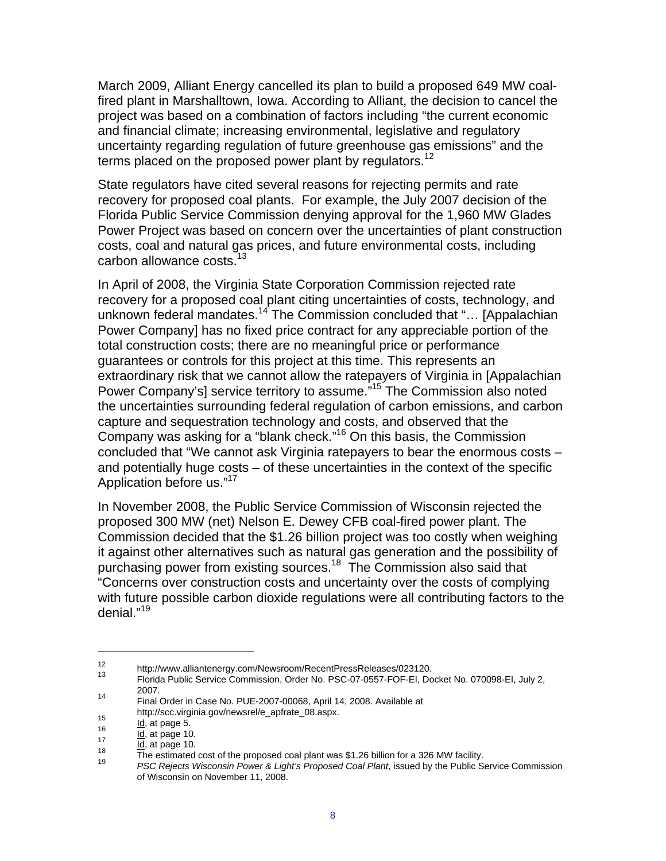March 2009, Alliant Energy cancelled its plan to build a proposed 649 MW coalfired plant in Marshalltown, Iowa. According to Alliant, the decision to cancel the project was based on a combination of factors including "the current economic and financial climate; increasing environmental, legislative and regulatory uncertainty regarding regulation of future greenhouse gas emissions" and the terms placed on the proposed power plant by regulators.<sup>12</sup>

State regulators have cited several reasons for rejecting permits and rate recovery for proposed coal plants. For example, the July 2007 decision of the Florida Public Service Commission denying approval for the 1,960 MW Glades Power Project was based on concern over the uncertainties of plant construction costs, coal and natural gas prices, and future environmental costs, including carbon allowance costs.<sup>13</sup>

In April of 2008, the Virginia State Corporation Commission rejected rate recovery for a proposed coal plant citing uncertainties of costs, technology, and unknown federal mandates.<sup>14</sup> The Commission concluded that "... [Appalachian Power Company] has no fixed price contract for any appreciable portion of the total construction costs; there are no meaningful price or performance guarantees or controls for this project at this time. This represents an extraordinary risk that we cannot allow the ratepayers of Virginia in [Appalachian Power Company's] service territory to assume."15 The Commission also noted the uncertainties surrounding federal regulation of carbon emissions, and carbon capture and sequestration technology and costs, and observed that the Company was asking for a "blank check."16 On this basis, the Commission concluded that "We cannot ask Virginia ratepayers to bear the enormous costs – and potentially huge costs – of these uncertainties in the context of the specific Application before us."17

In November 2008, the Public Service Commission of Wisconsin rejected the proposed 300 MW (net) Nelson E. Dewey CFB coal-fired power plant. The Commission decided that the \$1.26 billion project was too costly when weighing it against other alternatives such as natural gas generation and the possibility of purchasing power from existing sources.<sup>18</sup> The Commission also said that "Concerns over construction costs and uncertainty over the costs of complying with future possible carbon dioxide regulations were all contributing factors to the denial."<sup>19</sup>

<sup>12</sup> http://www.alliantenergy.com/Newsroom/RecentPressReleases/023120.<br>13 Elaide Public Centre Commission Order Na DCC 27 SEET FOR FL De

<sup>13</sup> Florida Public Service Commission, Order No. PSC-07-0557-FOF-EI, Docket No. 070098-EI, July 2, 2007.

<sup>14</sup> Final Order in Case No. PUE-2007-00068, April 14, 2008. Available at<br>http://scc.virginia.gov/newsrel/e apfrate 08.aspx.

http://scc.virginia.gov/newsrel/e\_apfrate\_08.aspx. 15 Id, at page 5. 16 Id, at page 10. 17 Id, at page 10. 18 The estimated cost of the proposed coal plant was \$1.26 billion for a 326 MW facility. 19 *PSC Rejects Wisconsin Power & Light's Proposed Coal Plant*, issued by the Public Service Commission of Wisconsin on November 11, 2008.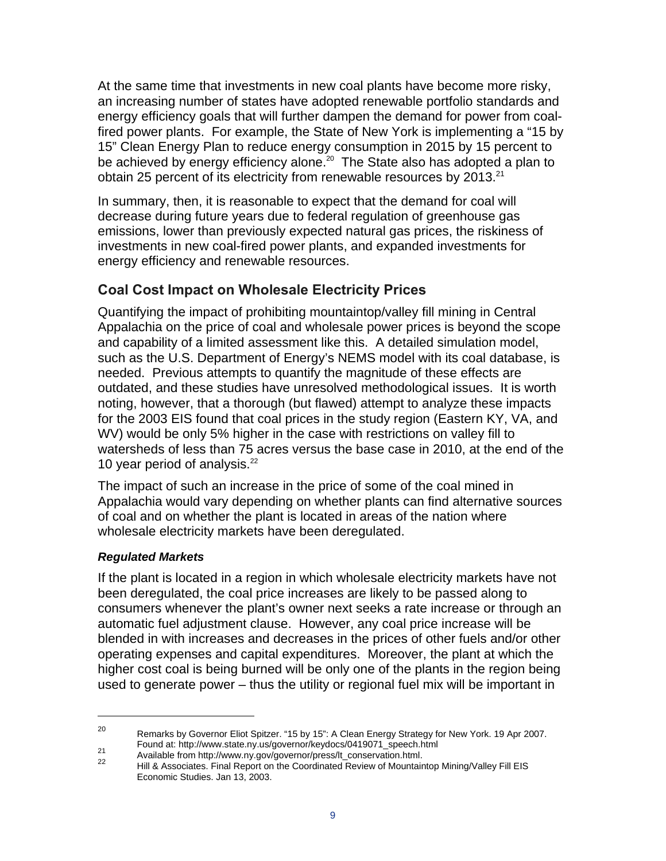At the same time that investments in new coal plants have become more risky, an increasing number of states have adopted renewable portfolio standards and energy efficiency goals that will further dampen the demand for power from coalfired power plants. For example, the State of New York is implementing a "15 by 15" Clean Energy Plan to reduce energy consumption in 2015 by 15 percent to be achieved by energy efficiency alone.<sup>20</sup> The State also has adopted a plan to obtain 25 percent of its electricity from renewable resources by  $2013.<sup>21</sup>$ 

In summary, then, it is reasonable to expect that the demand for coal will decrease during future years due to federal regulation of greenhouse gas emissions, lower than previously expected natural gas prices, the riskiness of investments in new coal-fired power plants, and expanded investments for energy efficiency and renewable resources.

## **Coal Cost Impact on Wholesale Electricity Prices**

Quantifying the impact of prohibiting mountaintop/valley fill mining in Central Appalachia on the price of coal and wholesale power prices is beyond the scope and capability of a limited assessment like this. A detailed simulation model, such as the U.S. Department of Energy's NEMS model with its coal database, is needed. Previous attempts to quantify the magnitude of these effects are outdated, and these studies have unresolved methodological issues. It is worth noting, however, that a thorough (but flawed) attempt to analyze these impacts for the 2003 EIS found that coal prices in the study region (Eastern KY, VA, and WV) would be only 5% higher in the case with restrictions on valley fill to watersheds of less than 75 acres versus the base case in 2010, at the end of the 10 year period of analysis. $^{22}$ 

The impact of such an increase in the price of some of the coal mined in Appalachia would vary depending on whether plants can find alternative sources of coal and on whether the plant is located in areas of the nation where wholesale electricity markets have been deregulated.

### *Regulated Markets*

 $\overline{a}$ 

If the plant is located in a region in which wholesale electricity markets have not been deregulated, the coal price increases are likely to be passed along to consumers whenever the plant's owner next seeks a rate increase or through an automatic fuel adjustment clause. However, any coal price increase will be blended in with increases and decreases in the prices of other fuels and/or other operating expenses and capital expenditures. Moreover, the plant at which the higher cost coal is being burned will be only one of the plants in the region being used to generate power – thus the utility or regional fuel mix will be important in

<sup>&</sup>lt;sup>20</sup> Remarks by Governor Eliot Spitzer. "15 by 15": A Clean Energy Strategy for New York. 19 Apr 2007.<br>Found at: http://www.state.ny.us/governor/keydocs/0419071\_speech.html

<sup>21&</sup>lt;br>Available from http://www.ny.gov/governor/press/lt\_conservation.html.<br>22 Hill & Associates. Final Report on the Coordinated Review of Mountaintop Mining/Valley Fill EIS Economic Studies. Jan 13, 2003.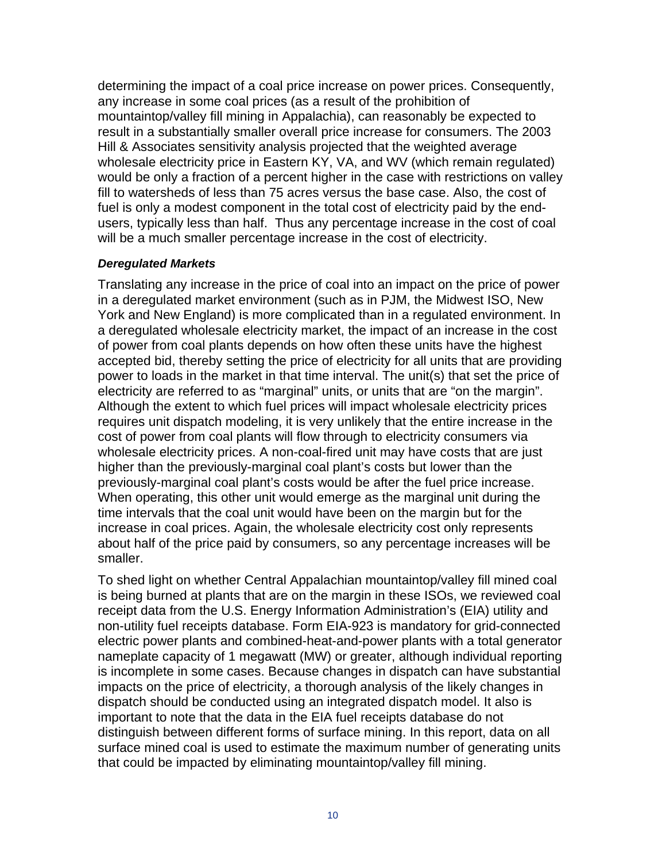determining the impact of a coal price increase on power prices. Consequently, any increase in some coal prices (as a result of the prohibition of mountaintop/valley fill mining in Appalachia), can reasonably be expected to result in a substantially smaller overall price increase for consumers. The 2003 Hill & Associates sensitivity analysis projected that the weighted average wholesale electricity price in Eastern KY, VA, and WV (which remain regulated) would be only a fraction of a percent higher in the case with restrictions on valley fill to watersheds of less than 75 acres versus the base case. Also, the cost of fuel is only a modest component in the total cost of electricity paid by the endusers, typically less than half. Thus any percentage increase in the cost of coal will be a much smaller percentage increase in the cost of electricity.

#### *Deregulated Markets*

Translating any increase in the price of coal into an impact on the price of power in a deregulated market environment (such as in PJM, the Midwest ISO, New York and New England) is more complicated than in a regulated environment. In a deregulated wholesale electricity market, the impact of an increase in the cost of power from coal plants depends on how often these units have the highest accepted bid, thereby setting the price of electricity for all units that are providing power to loads in the market in that time interval. The unit(s) that set the price of electricity are referred to as "marginal" units, or units that are "on the margin". Although the extent to which fuel prices will impact wholesale electricity prices requires unit dispatch modeling, it is very unlikely that the entire increase in the cost of power from coal plants will flow through to electricity consumers via wholesale electricity prices. A non-coal-fired unit may have costs that are just higher than the previously-marginal coal plant's costs but lower than the previously-marginal coal plant's costs would be after the fuel price increase. When operating, this other unit would emerge as the marginal unit during the time intervals that the coal unit would have been on the margin but for the increase in coal prices. Again, the wholesale electricity cost only represents about half of the price paid by consumers, so any percentage increases will be smaller.

To shed light on whether Central Appalachian mountaintop/valley fill mined coal is being burned at plants that are on the margin in these ISOs, we reviewed coal receipt data from the U.S. Energy Information Administration's (EIA) utility and non-utility fuel receipts database. Form EIA-923 is mandatory for grid-connected electric power plants and combined-heat-and-power plants with a total generator nameplate capacity of 1 megawatt (MW) or greater, although individual reporting is incomplete in some cases. Because changes in dispatch can have substantial impacts on the price of electricity, a thorough analysis of the likely changes in dispatch should be conducted using an integrated dispatch model. It also is important to note that the data in the EIA fuel receipts database do not distinguish between different forms of surface mining. In this report, data on all surface mined coal is used to estimate the maximum number of generating units that could be impacted by eliminating mountaintop/valley fill mining.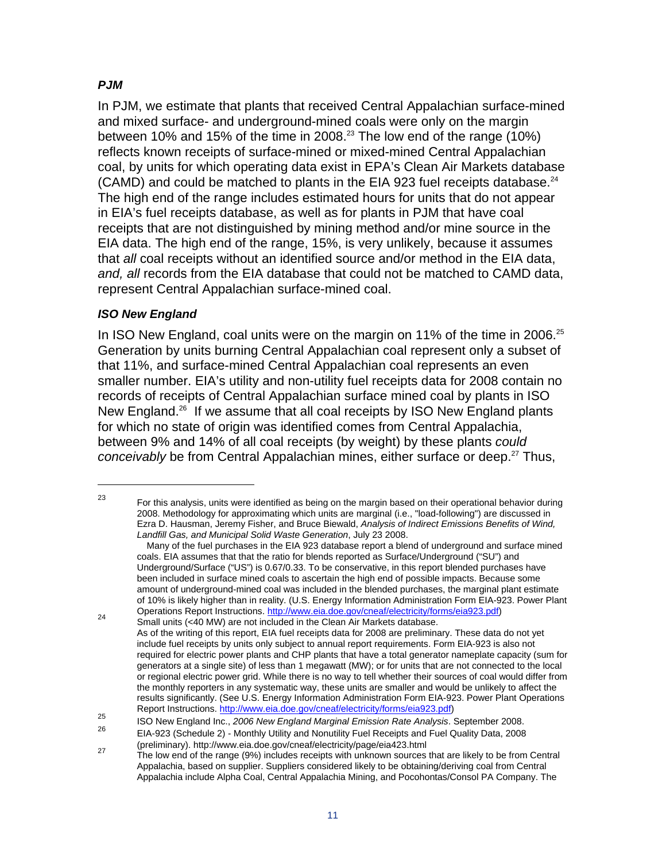### *PJM*

In PJM, we estimate that plants that received Central Appalachian surface-mined and mixed surface- and underground-mined coals were only on the margin between 10% and 15% of the time in 2008.<sup>23</sup> The low end of the range (10%) reflects known receipts of surface-mined or mixed-mined Central Appalachian coal, by units for which operating data exist in EPA's Clean Air Markets database (CAMD) and could be matched to plants in the EIA 923 fuel receipts database. $^{24}$ The high end of the range includes estimated hours for units that do not appear in EIA's fuel receipts database, as well as for plants in PJM that have coal receipts that are not distinguished by mining method and/or mine source in the EIA data. The high end of the range, 15%, is very unlikely, because it assumes that *all* coal receipts without an identified source and/or method in the EIA data, *and, all* records from the EIA database that could not be matched to CAMD data, represent Central Appalachian surface-mined coal.

#### *ISO New England*

 $\overline{a}$ 

In ISO New England, coal units were on the margin on 11% of the time in 2006.<sup>25</sup> Generation by units burning Central Appalachian coal represent only a subset of that 11%, and surface-mined Central Appalachian coal represents an even smaller number. EIA's utility and non-utility fuel receipts data for 2008 contain no records of receipts of Central Appalachian surface mined coal by plants in ISO New England.<sup>26</sup> If we assume that all coal receipts by ISO New England plants for which no state of origin was identified comes from Central Appalachia, between 9% and 14% of all coal receipts (by weight) by these plants *could conceivably* be from Central Appalachian mines, either surface or deep.<sup>27</sup> Thus,

 $23$  For this analysis, units were identified as being on the margin based on their operational behavior during 2008. Methodology for approximating which units are marginal (i.e., "load-following") are discussed in Ezra D. Hausman, Jeremy Fisher, and Bruce Biewald, *Analysis of Indirect Emissions Benefits of Wind, Landfill Gas, and Municipal Solid Waste Generation*, July 23 2008.

Many of the fuel purchases in the EIA 923 database report a blend of underground and surface mined coals. EIA assumes that that the ratio for blends reported as Surface/Underground ("SU") and Underground/Surface ("US") is 0.67/0.33. To be conservative, in this report blended purchases have been included in surface mined coals to ascertain the high end of possible impacts. Because some amount of underground-mined coal was included in the blended purchases, the marginal plant estimate of 10% is likely higher than in reality. (U.S. Energy Information Administration Form EIA-923. Power Plant Operations Report Instructions. http://www.eia.doe.gov/cneaf/electricity/forms/eia923.pdf)<br>
Small units (<40 MW) are not included in the Clean Air Markets database.

As of the writing of this report, EIA fuel receipts data for 2008 are preliminary. These data do not yet include fuel receipts by units only subject to annual report requirements. Form EIA-923 is also not required for electric power plants and CHP plants that have a total generator nameplate capacity (sum for generators at a single site) of less than 1 megawatt (MW); or for units that are not connected to the local or regional electric power grid. While there is no way to tell whether their sources of coal would differ from the monthly reporters in any systematic way, these units are smaller and would be unlikely to affect the results significantly. (See U.S. Energy Information Administration Form EIA-923. Power Plant Operations

Report Instructions. http://www.eia.doe.gov/cneaf/electricity/forms/eia923.pdf) 25 ISO New England Inc., *2006 New England Marginal Emission Rate Analysis*. September 2008.

EIA-923 (Schedule 2) - Monthly Utility and Nonutility Fuel Receipts and Fuel Quality Data, 2008<br>(preliminary). http://www.eia.doe.gov/cneaf/electricity/page/eia423.html

<sup>(</sup>preliminary). http://www.eia.doe.gov/cneaf/electricity/page/eia423.html 27 The low end of the range (9%) includes receipts with unknown sources that are likely to be from Central Appalachia, based on supplier. Suppliers considered likely to be obtaining/deriving coal from Central Appalachia include Alpha Coal, Central Appalachia Mining, and Pocohontas/Consol PA Company. The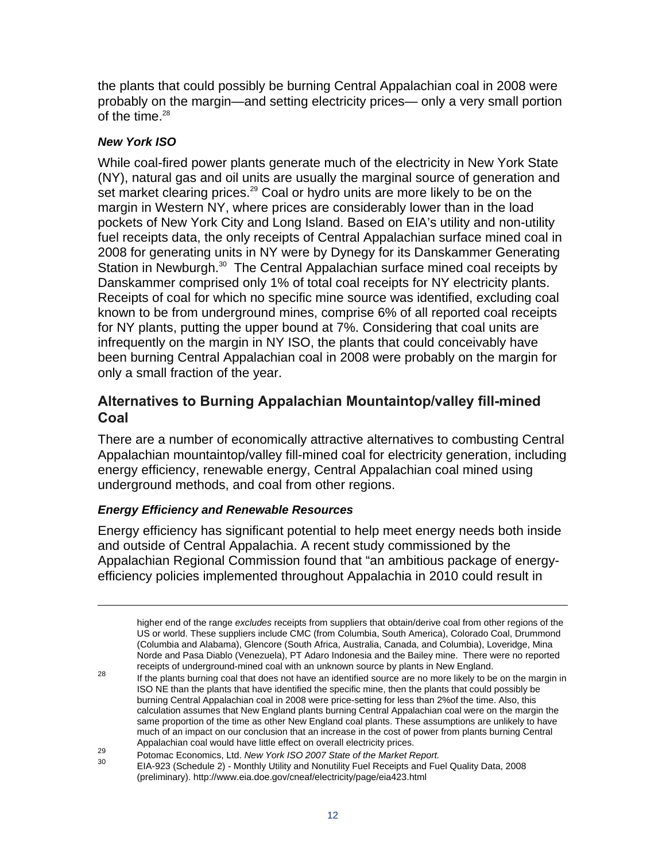the plants that could possibly be burning Central Appalachian coal in 2008 were probably on the margin—and setting electricity prices— only a very small portion of the time. $28$ 

### *New York ISO*

 $\overline{a}$ 

While coal-fired power plants generate much of the electricity in New York State (NY), natural gas and oil units are usually the marginal source of generation and set market clearing prices.<sup>29</sup> Coal or hydro units are more likely to be on the margin in Western NY, where prices are considerably lower than in the load pockets of New York City and Long Island. Based on EIA's utility and non-utility fuel receipts data, the only receipts of Central Appalachian surface mined coal in 2008 for generating units in NY were by Dynegy for its Danskammer Generating Station in Newburgh.<sup>30</sup> The Central Appalachian surface mined coal receipts by Danskammer comprised only 1% of total coal receipts for NY electricity plants. Receipts of coal for which no specific mine source was identified, excluding coal known to be from underground mines, comprise 6% of all reported coal receipts for NY plants, putting the upper bound at 7%. Considering that coal units are infrequently on the margin in NY ISO, the plants that could conceivably have been burning Central Appalachian coal in 2008 were probably on the margin for only a small fraction of the year.

### **Alternatives to Burning Appalachian Mountaintop/valley fill-mined Coal**

There are a number of economically attractive alternatives to combusting Central Appalachian mountaintop/valley fill-mined coal for electricity generation, including energy efficiency, renewable energy, Central Appalachian coal mined using underground methods, and coal from other regions.

### *Energy Efficiency and Renewable Resources*

Energy efficiency has significant potential to help meet energy needs both inside and outside of Central Appalachia. A recent study commissioned by the Appalachian Regional Commission found that "an ambitious package of energyefficiency policies implemented throughout Appalachia in 2010 could result in

<sup>29</sup> Potomac Economics, Ltd. New York ISO 2007 State of the Market Report.<br><sup>30</sup> EIA-923 (Schedule 2) - Monthly Utility and Nonutility Fuel Receipts and Fuel Quality Data, 2008 (preliminary). http://www.eia.doe.gov/cneaf/electricity/page/eia423.html

higher end of the range *excludes* receipts from suppliers that obtain/derive coal from other regions of the US or world. These suppliers include CMC (from Columbia, South America), Colorado Coal, Drummond (Columbia and Alabama), Glencore (South Africa, Australia, Canada, and Columbia), Loveridge, Mina Norde and Pasa Diablo (Venezuela), PT Adaro Indonesia and the Bailey mine. There were no reported

receipts of underground-mined coal with an unknown source by plants in New England.<br><sup>28</sup> If the plants burning coal that does not have an identified source are no more likely to be on the margin in ISO NE than the plants that have identified the specific mine, then the plants that could possibly be burning Central Appalachian coal in 2008 were price-setting for less than 2%of the time. Also, this calculation assumes that New England plants burning Central Appalachian coal were on the margin the same proportion of the time as other New England coal plants. These assumptions are unlikely to have much of an impact on our conclusion that an increase in the cost of power from plants burning Central Appalachian coal would have little effect on overall electricity prices.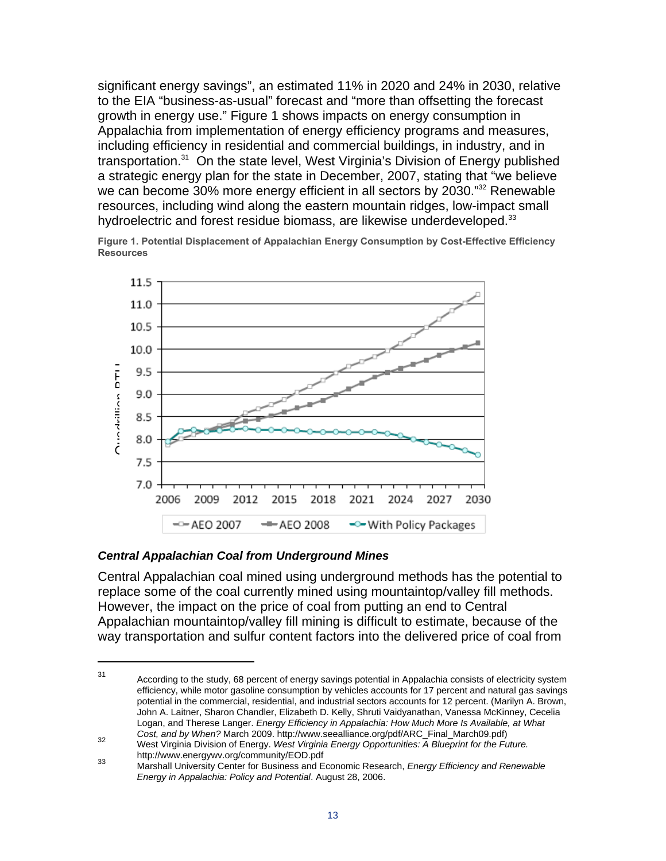significant energy savings", an estimated 11% in 2020 and 24% in 2030, relative to the EIA "business-as-usual" forecast and "more than offsetting the forecast growth in energy use." Figure 1 shows impacts on energy consumption in Appalachia from implementation of energy efficiency programs and measures, including efficiency in residential and commercial buildings, in industry, and in transportation.<sup>31</sup> On the state level, West Virginia's Division of Energy published a strategic energy plan for the state in December, 2007, stating that "we believe we can become 30% more energy efficient in all sectors by 2030."<sup>32</sup> Renewable resources, including wind along the eastern mountain ridges, low-impact small hydroelectric and forest residue biomass, are likewise underdeveloped.<sup>33</sup>

**Figure 1. Potential Displacement of Appalachian Energy Consumption by Cost-Effective Efficiency Resources** 



#### *Central Appalachian Coal from Underground Mines*

 $\overline{a}$ 

Central Appalachian coal mined using underground methods has the potential to replace some of the coal currently mined using mountaintop/valley fill methods. However, the impact on the price of coal from putting an end to Central Appalachian mountaintop/valley fill mining is difficult to estimate, because of the way transportation and sulfur content factors into the delivered price of coal from

<sup>31</sup> According to the study, 68 percent of energy savings potential in Appalachia consists of electricity system efficiency, while motor gasoline consumption by vehicles accounts for 17 percent and natural gas savings potential in the commercial, residential, and industrial sectors accounts for 12 percent. (Marilyn A. Brown, John A. Laitner, Sharon Chandler, Elizabeth D. Kelly, Shruti Vaidyanathan, Vanessa McKinney, Cecelia Logan, and Therese Langer. *Energy Efficiency in Appalachia: How Much More Is Available, at What* 

*Cost, and by When?* March 2009. http://www.seealliance.org/pdf/ARC\_Final\_March09.pdf) 32 West Virginia Division of Energy. *West Virginia Energy Opportunities: A Blueprint for the Future.* 

http://www.energywv.org/community/EOD.pdf 33 Marshall University Center for Business and Economic Research, *Energy Efficiency and Renewable Energy in Appalachia: Policy and Potential*. August 28, 2006.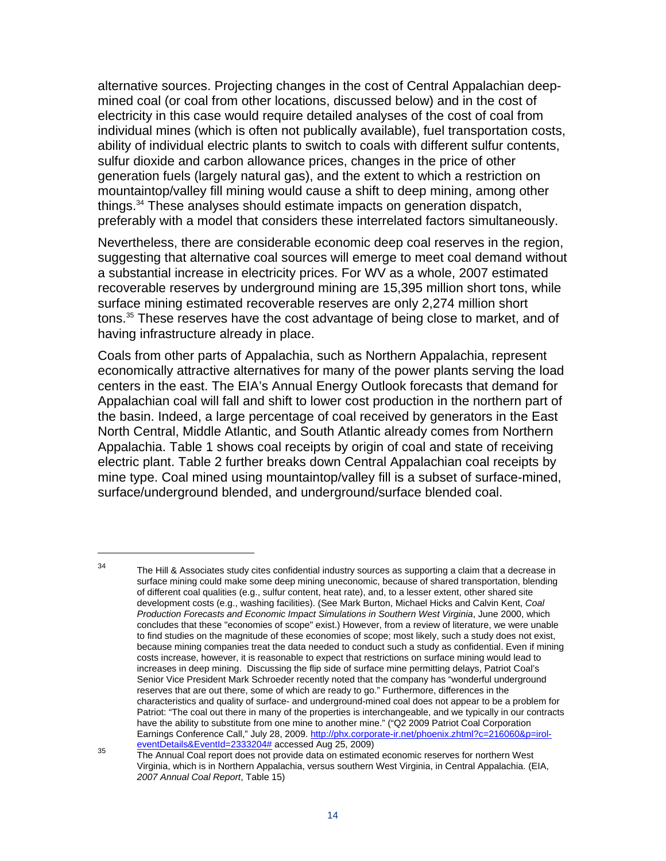alternative sources. Projecting changes in the cost of Central Appalachian deepmined coal (or coal from other locations, discussed below) and in the cost of electricity in this case would require detailed analyses of the cost of coal from individual mines (which is often not publically available), fuel transportation costs, ability of individual electric plants to switch to coals with different sulfur contents, sulfur dioxide and carbon allowance prices, changes in the price of other generation fuels (largely natural gas), and the extent to which a restriction on mountaintop/valley fill mining would cause a shift to deep mining, among other things.34 These analyses should estimate impacts on generation dispatch, preferably with a model that considers these interrelated factors simultaneously.

Nevertheless, there are considerable economic deep coal reserves in the region, suggesting that alternative coal sources will emerge to meet coal demand without a substantial increase in electricity prices. For WV as a whole, 2007 estimated recoverable reserves by underground mining are 15,395 million short tons, while surface mining estimated recoverable reserves are only 2,274 million short tons.<sup>35</sup> These reserves have the cost advantage of being close to market, and of having infrastructure already in place.

Coals from other parts of Appalachia, such as Northern Appalachia, represent economically attractive alternatives for many of the power plants serving the load centers in the east. The EIA's Annual Energy Outlook forecasts that demand for Appalachian coal will fall and shift to lower cost production in the northern part of the basin. Indeed, a large percentage of coal received by generators in the East North Central, Middle Atlantic, and South Atlantic already comes from Northern Appalachia. Table 1 shows coal receipts by origin of coal and state of receiving electric plant. Table 2 further breaks down Central Appalachian coal receipts by mine type. Coal mined using mountaintop/valley fill is a subset of surface-mined, surface/underground blended, and underground/surface blended coal.

 $\overline{a}$ 

 $34$  The Hill & Associates study cites confidential industry sources as supporting a claim that a decrease in surface mining could make some deep mining uneconomic, because of shared transportation, blending of different coal qualities (e.g., sulfur content, heat rate), and, to a lesser extent, other shared site development costs (e.g., washing facilities). (See Mark Burton, Michael Hicks and Calvin Kent, *Coal Production Forecasts and Economic Impact Simulations in Southern West Virginia*, June 2000, which concludes that these "economies of scope" exist.) However, from a review of literature, we were unable to find studies on the magnitude of these economies of scope; most likely, such a study does not exist, because mining companies treat the data needed to conduct such a study as confidential. Even if mining costs increase, however, it is reasonable to expect that restrictions on surface mining would lead to increases in deep mining. Discussing the flip side of surface mine permitting delays, Patriot Coal's Senior Vice President Mark Schroeder recently noted that the company has "wonderful underground reserves that are out there, some of which are ready to go." Furthermore, differences in the characteristics and quality of surface- and underground-mined coal does not appear to be a problem for Patriot: "The coal out there in many of the properties is interchangeable, and we typically in our contracts have the ability to substitute from one mine to another mine." ("Q2 2009 Patriot Coal Corporation Earnings Conference Call," July 28, 2009. http://phx.corporate-ir.net/phoenix.zhtml?c=216060&p=irol-<br>eventDetails&EventId=2333204# accessed Aug 25, 2009)

eventDetails&EventId=2333204# accessed Aug 25, 2009) 35 The Annual Coal report does not provide data on estimated economic reserves for northern West Virginia, which is in Northern Appalachia, versus southern West Virginia, in Central Appalachia. (EIA, *2007 Annual Coal Report*, Table 15)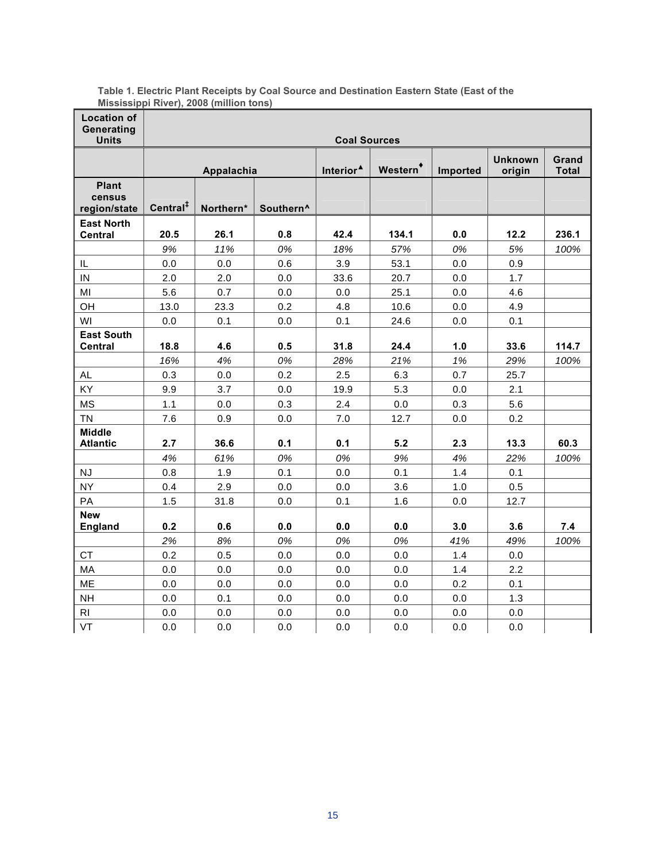| <b>Location of</b>                     |                                                            | m          |      |                       |                      |          |                          |                       |  |  |  |  |  |
|----------------------------------------|------------------------------------------------------------|------------|------|-----------------------|----------------------|----------|--------------------------|-----------------------|--|--|--|--|--|
| Generating                             |                                                            |            |      |                       |                      |          |                          |                       |  |  |  |  |  |
| <b>Units</b>                           | <b>Coal Sources</b>                                        |            |      |                       |                      |          |                          |                       |  |  |  |  |  |
|                                        |                                                            | Appalachia |      | Interior <sup>4</sup> | Western <sup>+</sup> | Imported | <b>Unknown</b><br>origin | Grand<br><b>Total</b> |  |  |  |  |  |
| <b>Plant</b><br>census<br>region/state | Central <sup>#</sup><br>Northern*<br>Southern <sup>^</sup> |            |      |                       |                      |          |                          |                       |  |  |  |  |  |
| <b>East North</b><br><b>Central</b>    | 20.5<br>26.1<br>0.8                                        |            | 42.4 | 134.1                 | 0.0                  | 12.2     | 236.1                    |                       |  |  |  |  |  |
|                                        | 9%                                                         | 11%        | 0%   | 18%                   | 57%                  | 0%       | 5%                       | 100%                  |  |  |  |  |  |
| IL                                     | 0.0                                                        | 0.0        | 0.6  | 3.9                   | 53.1                 | 0.0      | 0.9                      |                       |  |  |  |  |  |
| IN                                     | 2.0                                                        | 2.0        | 0.0  | 33.6                  | 20.7                 | 0.0      | 1.7                      |                       |  |  |  |  |  |
| MI                                     | 5.6                                                        | 0.7        | 0.0  | 0.0                   | 25.1                 | 0.0      | 4.6                      |                       |  |  |  |  |  |
| OH                                     | 13.0<br>23.3<br>0.2                                        |            | 4.8  | 10.6                  | 0.0                  | 4.9      |                          |                       |  |  |  |  |  |
| WI                                     | 0.1<br>0.0<br>0.0                                          |            | 0.1  | 24.6                  | 0.1<br>0.0           |          |                          |                       |  |  |  |  |  |
| <b>East South</b><br><b>Central</b>    | 18.8<br>4.6<br>0.5                                         |            |      | 31.8                  | 24.4                 | 1.0      | 33.6                     | 114.7                 |  |  |  |  |  |
|                                        | 16%                                                        | 4%         | 0%   | 28%                   | 21%                  | 1%       | 29%                      | 100%                  |  |  |  |  |  |
| AL                                     | 0.3                                                        | 0.0        | 0.2  | 2.5                   | 6.3                  | 0.7      | 25.7                     |                       |  |  |  |  |  |
| KY                                     | 9.9                                                        | 3.7        | 0.0  | 19.9                  | 5.3                  | 0.0      | 2.1                      |                       |  |  |  |  |  |
| <b>MS</b>                              | $1.1$                                                      | 0.0        | 0.3  | 2.4                   | 0.0                  | 0.3      | 5.6                      |                       |  |  |  |  |  |
| <b>TN</b>                              | 7.6                                                        | 0.9        | 0.0  | 7.0                   | 12.7                 | 0.0      | 0.2                      |                       |  |  |  |  |  |
| <b>Middle</b><br><b>Atlantic</b>       | 2.7                                                        | 36.6       | 0.1  | 0.1                   | $5.2$                | 2.3      | 13.3                     | 60.3                  |  |  |  |  |  |
|                                        | 4%                                                         | 61%        | 0%   | 0%                    | 9%                   | 4%       | 22%                      | 100%                  |  |  |  |  |  |
| NJ                                     | 0.8                                                        | 1.9        | 0.1  | 0.0                   | 0.1                  | 1.4      | 0.1                      |                       |  |  |  |  |  |
| <b>NY</b>                              | 0.4                                                        | 2.9        | 0.0  | 0.0                   | 3.6                  | 1.0      | 0.5                      |                       |  |  |  |  |  |
| PA                                     | 1.5                                                        | 31.8       | 0.0  | 0.1                   | 1.6                  | 0.0      | 12.7                     |                       |  |  |  |  |  |
| <b>New</b><br><b>England</b>           | 0.2<br>0.6<br>0.0                                          |            |      | 0.0                   | 0.0                  | 3.0      | 3.6                      | 7.4                   |  |  |  |  |  |
|                                        | 2%                                                         | 8%         | 0%   | 0%                    | 0%                   | 41%      | 49%                      | 100%                  |  |  |  |  |  |
| CT                                     | 0.2                                                        | 0.5        | 0.0  | $0.0\,$               | 0.0                  | 1.4      | $0.0\,$                  |                       |  |  |  |  |  |
| MA                                     | 0.0                                                        | 0.0        | 0.0  | 0.0                   | 0.0                  | 1.4      | 2.2                      |                       |  |  |  |  |  |
| ME                                     | 0.0                                                        | 0.0        | 0.0  | 0.0                   | 0.0                  | 0.2      | 0.1                      |                       |  |  |  |  |  |
| <b>NH</b>                              | 0.0                                                        | 0.1        | 0.0  | $0.0\,$               | 0.0                  | 0.0      | 1.3                      |                       |  |  |  |  |  |
| R <sub>l</sub>                         | 0.0                                                        | 0.0        | 0.0  | 0.0                   | 0.0                  | 0.0      | 0.0                      |                       |  |  |  |  |  |
| VT                                     | 0.0                                                        | 0.0        | 0.0  | 0.0                   | 0.0                  | 0.0      | 0.0                      |                       |  |  |  |  |  |

**Table 1. Electric Plant Receipts by Coal Source and Destination Eastern State (East of the Mississippi River), 2008 (million tons)**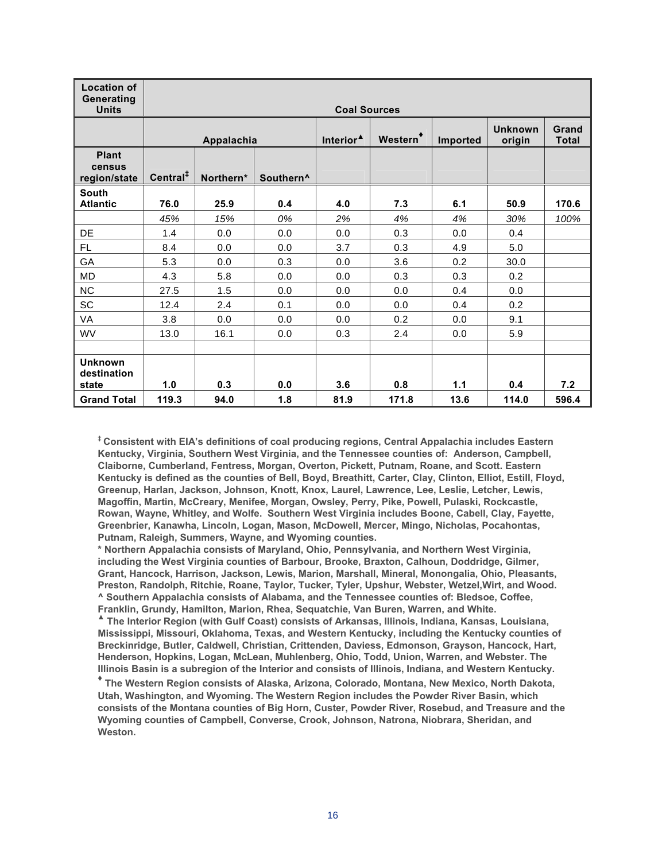| <b>Location of</b><br>Generating<br><b>Units</b> | <b>Coal Sources</b>  |            |                       |                       |                      |          |                          |                       |  |  |  |  |
|--------------------------------------------------|----------------------|------------|-----------------------|-----------------------|----------------------|----------|--------------------------|-----------------------|--|--|--|--|
|                                                  |                      | Appalachia |                       | Interior <sup>4</sup> | Western <sup>*</sup> | Imported | <b>Unknown</b><br>origin | Grand<br><b>Total</b> |  |  |  |  |
| <b>Plant</b><br>census<br>region/state           | Central <sup>#</sup> | Northern*  | Southern <sup>^</sup> |                       |                      |          |                          |                       |  |  |  |  |
| <b>South</b><br><b>Atlantic</b>                  | 76.0                 | 25.9       | 0.4                   | 4.0                   | 7.3                  | 6.1      | 50.9                     | 170.6                 |  |  |  |  |
|                                                  | 45%                  | 15%        | 0%                    | 2%                    | 4%                   | 4%       | 30%                      | 100%                  |  |  |  |  |
| DE                                               | 1.4                  | 0.0        | 0.0                   | 0.0                   | 0.3                  | 0.0      | 0.4                      |                       |  |  |  |  |
| FL                                               | 8.4                  | 0.0        | 0.0                   | 3.7                   | 0.3                  | 4.9      | 5.0                      |                       |  |  |  |  |
| GA                                               | 5.3                  | 0.0        | 0.3                   | 0.0                   | 3.6                  | 0.2      | 30.0                     |                       |  |  |  |  |
| <b>MD</b>                                        | 4.3                  | 5.8        | 0.0                   | 0.0                   | 0.3                  | 0.3      | 0.2                      |                       |  |  |  |  |
| NC                                               | 27.5                 | 1.5        | 0.0                   | 0.0                   | 0.0                  | 0.4      | 0.0                      |                       |  |  |  |  |
| <b>SC</b>                                        | 12.4                 | 2.4        | 0.1                   | 0.0                   | 0.0                  | 0.4      | 0.2                      |                       |  |  |  |  |
| VA                                               | 3.8                  | 0.0        | 0.0                   | 0.0                   | 0.2                  | 0.0      | 9.1                      |                       |  |  |  |  |
| <b>WV</b>                                        | 13.0                 | 16.1       | 0.0                   | 0.3                   | 2.4                  | 0.0      | 5.9                      |                       |  |  |  |  |
|                                                  |                      |            |                       |                       |                      |          |                          |                       |  |  |  |  |
| <b>Unknown</b><br>destination<br>state           | 1.0                  | 0.3        | 0.0                   | 3.6                   | 0.8                  | 1.1      | 0.4                      | 7.2                   |  |  |  |  |
| <b>Grand Total</b>                               | 119.3                | 94.0       | 1.8                   | 81.9                  | 171.8                | 13.6     | 114.0                    | 596.4                 |  |  |  |  |

**‡ Consistent with EIA's definitions of coal producing regions, Central Appalachia includes Eastern Kentucky, Virginia, Southern West Virginia, and the Tennessee counties of: Anderson, Campbell, Claiborne, Cumberland, Fentress, Morgan, Overton, Pickett, Putnam, Roane, and Scott. Eastern Kentucky is defined as the counties of Bell, Boyd, Breathitt, Carter, Clay, Clinton, Elliot, Estill, Floyd, Greenup, Harlan, Jackson, Johnson, Knott, Knox, Laurel, Lawrence, Lee, Leslie, Letcher, Lewis, Magoffin, Martin, McCreary, Menifee, Morgan, Owsley, Perry, Pike, Powell, Pulaski, Rockcastle, Rowan, Wayne, Whitley, and Wolfe. Southern West Virginia includes Boone, Cabell, Clay, Fayette, Greenbrier, Kanawha, Lincoln, Logan, Mason, McDowell, Mercer, Mingo, Nicholas, Pocahontas, Putnam, Raleigh, Summers, Wayne, and Wyoming counties.** 

**\* Northern Appalachia consists of Maryland, Ohio, Pennsylvania, and Northern West Virginia, including the West Virginia counties of Barbour, Brooke, Braxton, Calhoun, Doddridge, Gilmer, Grant, Hancock, Harrison, Jackson, Lewis, Marion, Marshall, Mineral, Monongalia, Ohio, Pleasants, Preston, Randolph, Ritchie, Roane, Taylor, Tucker, Tyler, Upshur, Webster, Wetzel,Wirt, and Wood. ^ Southern Appalachia consists of Alabama, and the Tennessee counties of: Bledsoe, Coffee, Franklin, Grundy, Hamilton, Marion, Rhea, Sequatchie, Van Buren, Warren, and White.** 

**▲ The Interior Region (with Gulf Coast) consists of Arkansas, Illinois, Indiana, Kansas, Louisiana, Mississippi, Missouri, Oklahoma, Texas, and Western Kentucky, including the Kentucky counties of Breckinridge, Butler, Caldwell, Christian, Crittenden, Daviess, Edmonson, Grayson, Hancock, Hart, Henderson, Hopkins, Logan, McLean, Muhlenberg, Ohio, Todd, Union, Warren, and Webster. The Illinois Basin is a subregion of the Interior and consists of Illinois, Indiana, and Western Kentucky.** 

**♦ The Western Region consists of Alaska, Arizona, Colorado, Montana, New Mexico, North Dakota, Utah, Washington, and Wyoming. The Western Region includes the Powder River Basin, which consists of the Montana counties of Big Horn, Custer, Powder River, Rosebud, and Treasure and the Wyoming counties of Campbell, Converse, Crook, Johnson, Natrona, Niobrara, Sheridan, and Weston.**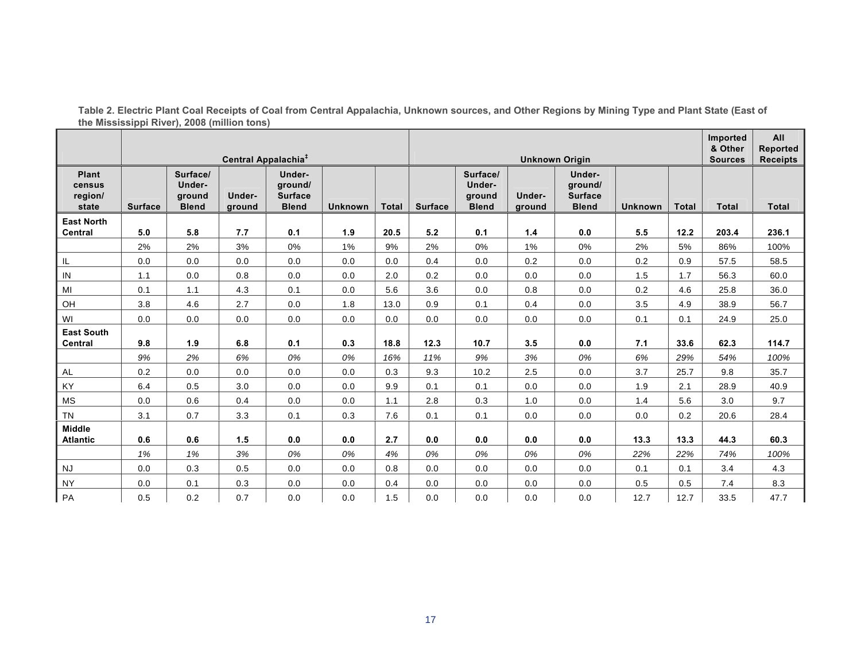|                                            |                                 |                                              |                  |                                                     |                |       |                |                                              | Imported                  | All                                                 |                |              |              |                 |
|--------------------------------------------|---------------------------------|----------------------------------------------|------------------|-----------------------------------------------------|----------------|-------|----------------|----------------------------------------------|---------------------------|-----------------------------------------------------|----------------|--------------|--------------|-----------------|
|                                            |                                 |                                              |                  |                                                     |                |       |                |                                              | & Other<br><b>Sources</b> | Reported                                            |                |              |              |                 |
|                                            | Central Appalachia <sup>‡</sup> |                                              |                  |                                                     |                |       |                | <b>Unknown Origin</b>                        |                           |                                                     |                |              |              | <b>Receipts</b> |
| <b>Plant</b><br>census<br>region/<br>state | <b>Surface</b>                  | Surface/<br>Under-<br>ground<br><b>Blend</b> | Under-<br>ground | Under-<br>ground/<br><b>Surface</b><br><b>Blend</b> | <b>Unknown</b> | Total | <b>Surface</b> | Surface/<br>Under-<br>ground<br><b>Blend</b> | Under-<br>ground          | Under-<br>ground/<br><b>Surface</b><br><b>Blend</b> | <b>Unknown</b> | <b>Total</b> | <b>Total</b> | <b>Total</b>    |
| <b>East North</b>                          |                                 |                                              |                  |                                                     |                |       |                |                                              |                           |                                                     |                |              |              |                 |
| Central                                    | 5.0                             | 5.8                                          | 7.7              | 0.1                                                 | 1.9            | 20.5  | 5.2            | 0.1                                          | $1.4$                     | 0.0                                                 | 5.5            | 12.2         | 203.4        | 236.1           |
|                                            | 2%                              | 2%                                           | 3%               | 0%                                                  | 1%             | 9%    | 2%             | 0%                                           | 1%                        | 0%                                                  | 2%             | 5%           | 86%          | 100%            |
| $\sf IL$                                   | $0.0\,$                         | 0.0                                          | 0.0              | 0.0                                                 | 0.0            | 0.0   | 0.4            | 0.0                                          | 0.2                       | 0.0                                                 | 0.2            | 0.9          | 57.5         | 58.5            |
| $\sf IN$                                   | 1.1                             | $0.0\,$                                      | 0.8              | $0.0\,$                                             | $0.0\,$        | 2.0   | 0.2            | 0.0                                          | 0.0                       | 0.0                                                 | 1.5            | 1.7          | 56.3         | 60.0            |
| MI                                         | 0.1                             | 1.1                                          | 4.3              | 0.1                                                 | 0.0            | 5.6   | 3.6            | 0.0                                          | 0.8                       | 0.0                                                 | 0.2            | 4.6          | 25.8         | 36.0            |
| $\mathsf{OH}$                              | 3.8                             | 4.6                                          | 2.7              | 0.0                                                 | 1.8            | 13.0  | 0.9            | 0.1                                          | 0.4                       | 0.0                                                 | 3.5            | 4.9          | 38.9         | 56.7            |
| WI                                         | 0.0                             | 0.0                                          | 0.0              | 0.0                                                 | 0.0            | 0.0   | 0.0            | 0.0                                          | 0.0                       | 0.0                                                 | 0.1            | 0.1          | 24.9         | 25.0            |
| <b>East South</b>                          |                                 |                                              |                  |                                                     |                |       |                |                                              |                           |                                                     |                |              |              |                 |
| Central                                    | 9.8                             | 1.9                                          | 6.8              | 0.1                                                 | 0.3            | 18.8  | 12.3           | 10.7                                         | 3.5                       | 0.0                                                 | 7.1            | 33.6         | 62.3         | 114.7           |
|                                            | 9%                              | 2%                                           | 6%               | 0%                                                  | 0%             | 16%   | 11%            | 9%                                           | 3%                        | 0%                                                  | 6%             | 29%          | 54%          | 100%            |
| $\mathsf{AL}$                              | 0.2                             | 0.0                                          | $0.0\,$          | $0.0\,$                                             | 0.0            | 0.3   | 9.3            | 10.2                                         | 2.5                       | 0.0                                                 | 3.7            | 25.7         | 9.8          | 35.7            |
| KY                                         | 6.4                             | 0.5                                          | 3.0              | 0.0                                                 | 0.0            | 9.9   | 0.1            | 0.1                                          | 0.0                       | 0.0                                                 | 1.9            | 2.1          | 28.9         | 40.9            |
| MS                                         | 0.0                             | 0.6                                          | 0.4              | 0.0                                                 | 0.0            | 1.1   | 2.8            | 0.3                                          | 1.0                       | 0.0                                                 | 1.4            | 5.6          | 3.0          | 9.7             |
| <b>TN</b>                                  | 3.1                             | 0.7                                          | 3.3              | 0.1                                                 | 0.3            | 7.6   | 0.1            | 0.1                                          | 0.0                       | 0.0                                                 | 0.0            | 0.2          | 20.6         | 28.4            |
| <b>Middle</b>                              |                                 |                                              |                  |                                                     |                |       |                |                                              |                           |                                                     |                |              |              |                 |
| <b>Atlantic</b>                            | 0.6                             | 0.6                                          | 1.5              | $0.0\,$                                             | 0.0            | 2.7   | 0.0            | 0.0                                          | 0.0                       | 0.0                                                 | 13.3           | 13.3         | 44.3         | 60.3            |
|                                            | 1%                              | 1%                                           | 3%               | 0%                                                  | 0%             | 4%    | 0%             | 0%                                           | 0%                        | 0%                                                  | 22%            | 22%          | 74%          | 100%            |
| <b>NJ</b>                                  | 0.0                             | 0.3                                          | 0.5              | 0.0                                                 | 0.0            | 0.8   | 0.0            | 0.0                                          | 0.0                       | 0.0                                                 | 0.1            | 0.1          | 3.4          | 4.3             |
| <b>NY</b>                                  | 0.0                             | 0.1                                          | 0.3              | 0.0                                                 | 0.0            | 0.4   | 0.0            | 0.0                                          | 0.0                       | 0.0                                                 | 0.5            | 0.5          | 7.4          | 8.3             |
| PA                                         | 0.5                             | 0.2                                          | 0.7              | 0.0                                                 | 0.0            | 1.5   | 0.0            | 0.0                                          | 0.0                       | 0.0                                                 | 12.7           | 12.7         | 33.5         | 47.7            |

**Table 2. Electric Plant Coal Receipts of Coal from Central Appalachia, Unknown sources, and Other Regions by Mining Type and Plant State (East of the Mississippi River), 2008 (million tons)**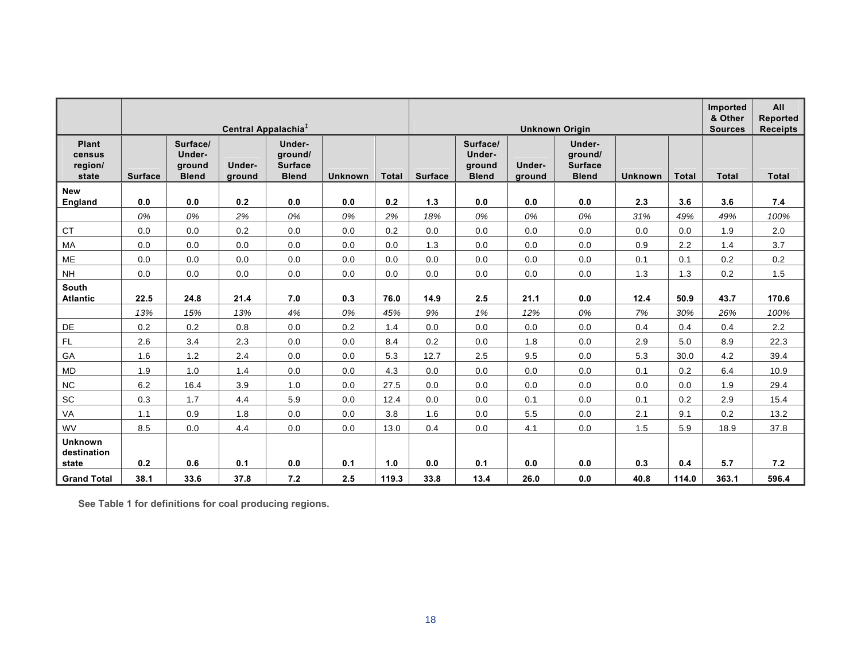|                                            | Central Appalachia <sup>‡</sup> |                                              |                  |                                                     |                |              | <b>Unknown Origin</b> |                                              |                  |                                                     |                |              | Imported<br>& Other<br><b>Sources</b> | All<br><b>Reported</b><br><b>Receipts</b> |
|--------------------------------------------|---------------------------------|----------------------------------------------|------------------|-----------------------------------------------------|----------------|--------------|-----------------------|----------------------------------------------|------------------|-----------------------------------------------------|----------------|--------------|---------------------------------------|-------------------------------------------|
| <b>Plant</b><br>census<br>region/<br>state | <b>Surface</b>                  | Surface/<br>Under-<br>ground<br><b>Blend</b> | Under-<br>ground | Under-<br>ground/<br><b>Surface</b><br><b>Blend</b> | <b>Unknown</b> | <b>Total</b> | <b>Surface</b>        | Surface/<br>Under-<br>ground<br><b>Blend</b> | Under-<br>ground | Under-<br>ground/<br><b>Surface</b><br><b>Blend</b> | <b>Unknown</b> | <b>Total</b> | <b>Total</b>                          | <b>Total</b>                              |
| <b>New</b>                                 |                                 |                                              |                  |                                                     |                |              |                       |                                              |                  |                                                     |                |              |                                       |                                           |
| England                                    | 0.0                             | 0.0                                          | 0.2              | 0.0                                                 | 0.0            | 0.2          | 1.3                   | 0.0                                          | 0.0              | 0.0                                                 | 2.3            | 3.6          | 3.6                                   | 7.4                                       |
|                                            | 0%                              | 0%                                           | 2%               | 0%                                                  | 0%             | 2%           | 18%                   | 0%                                           | 0%               | 0%                                                  | 31%            | 49%          | 49%                                   | 100%                                      |
| CT                                         | 0.0                             | 0.0                                          | 0.2              | 0.0                                                 | 0.0            | 0.2          | 0.0                   | 0.0                                          | 0.0              | 0.0                                                 | 0.0            | 0.0          | 1.9                                   | 2.0                                       |
| <b>MA</b>                                  | 0.0                             | 0.0                                          | 0.0              | 0.0                                                 | 0.0            | 0.0          | 1.3                   | 0.0                                          | 0.0              | 0.0                                                 | 0.9            | 2.2          | 1.4                                   | 3.7                                       |
| ME                                         | 0.0                             | 0.0                                          | 0.0              | 0.0                                                 | 0.0            | 0.0          | 0.0                   | 0.0                                          | 0.0              | 0.0                                                 | 0.1            | 0.1          | 0.2                                   | 0.2                                       |
| <b>NH</b>                                  | 0.0                             | 0.0                                          | 0.0              | 0.0                                                 | 0.0            | 0.0          | 0.0                   | 0.0                                          | 0.0              | 0.0                                                 | 1.3            | 1.3          | 0.2                                   | 1.5                                       |
| South                                      |                                 |                                              |                  |                                                     |                |              |                       |                                              |                  |                                                     |                |              |                                       |                                           |
| <b>Atlantic</b>                            | 22.5                            | 24.8                                         | 21.4             | 7.0                                                 | 0.3            | 76.0         | 14.9                  | 2.5                                          | 21.1             | 0.0                                                 | 12.4           | 50.9         | 43.7                                  | 170.6                                     |
|                                            | 13%                             | 15%                                          | 13%              | 4%                                                  | 0%             | 45%          | 9%                    | 1%                                           | 12%              | 0%                                                  | 7%             | 30%          | 26%                                   | 100%                                      |
| DE                                         | 0.2                             | 0.2                                          | 0.8              | 0.0                                                 | 0.2            | 1.4          | 0.0                   | 0.0                                          | 0.0              | 0.0                                                 | 0.4            | 0.4          | 0.4                                   | 2.2                                       |
| $\mathsf{FL}$                              | 2.6                             | 3.4                                          | 2.3              | 0.0                                                 | 0.0            | 8.4          | 0.2                   | 0.0                                          | 1.8              | 0.0                                                 | 2.9            | 5.0          | 8.9                                   | 22.3                                      |
| GA                                         | 1.6                             | 1.2                                          | 2.4              | 0.0                                                 | 0.0            | 5.3          | 12.7                  | 2.5                                          | 9.5              | 0.0                                                 | 5.3            | 30.0         | 4.2                                   | 39.4                                      |
| <b>MD</b>                                  | 1.9                             | 1.0                                          | 1.4              | 0.0                                                 | 0.0            | 4.3          | 0.0                   | 0.0                                          | 0.0              | 0.0                                                 | 0.1            | 0.2          | 6.4                                   | 10.9                                      |
| ${\sf NC}$                                 | 6.2                             | 16.4                                         | 3.9              | 1.0                                                 | 0.0            | 27.5         | 0.0                   | 0.0                                          | 0.0              | 0.0                                                 | 0.0            | 0.0          | 1.9                                   | 29.4                                      |
| SC                                         | 0.3                             | 1.7                                          | 4.4              | 5.9                                                 | 0.0            | 12.4         | 0.0                   | 0.0                                          | 0.1              | 0.0                                                 | 0.1            | 0.2          | 2.9                                   | 15.4                                      |
| VA                                         | 1.1                             | 0.9                                          | 1.8              | 0.0                                                 | 0.0            | 3.8          | 1.6                   | 0.0                                          | 5.5              | 0.0                                                 | 2.1            | 9.1          | 0.2                                   | 13.2                                      |
| WV                                         | 8.5                             | 0.0                                          | 4.4              | 0.0                                                 | 0.0            | 13.0         | 0.4                   | 0.0                                          | 4.1              | 0.0                                                 | 1.5            | 5.9          | 18.9                                  | 37.8                                      |
| <b>Unknown</b><br>destination<br>state     | 0.2                             | 0.6                                          | 0.1              | 0.0                                                 | 0.1            | 1.0          | 0.0                   | 0.1                                          | 0.0              | 0.0                                                 | 0.3            | 0.4          | 5.7                                   | 7.2                                       |
| <b>Grand Total</b>                         | 38.1                            | 33.6                                         | 37.8             | 7.2                                                 | 2.5            | 119.3        | 33.8                  | 13.4                                         | 26.0             | 0.0                                                 | 40.8           | 114.0        | 363.1                                 | 596.4                                     |

**See Table 1 for definitions for coal producing regions.**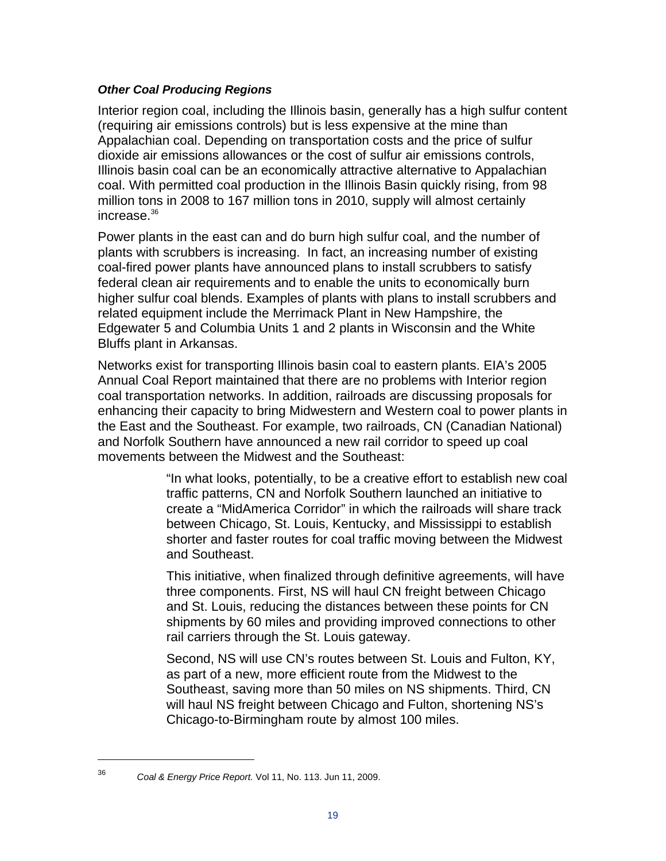#### *Other Coal Producing Regions*

Interior region coal, including the Illinois basin, generally has a high sulfur content (requiring air emissions controls) but is less expensive at the mine than Appalachian coal. Depending on transportation costs and the price of sulfur dioxide air emissions allowances or the cost of sulfur air emissions controls, Illinois basin coal can be an economically attractive alternative to Appalachian coal. With permitted coal production in the Illinois Basin quickly rising, from 98 million tons in 2008 to 167 million tons in 2010, supply will almost certainly increase.36

Power plants in the east can and do burn high sulfur coal, and the number of plants with scrubbers is increasing. In fact, an increasing number of existing coal-fired power plants have announced plans to install scrubbers to satisfy federal clean air requirements and to enable the units to economically burn higher sulfur coal blends. Examples of plants with plans to install scrubbers and related equipment include the Merrimack Plant in New Hampshire, the Edgewater 5 and Columbia Units 1 and 2 plants in Wisconsin and the White Bluffs plant in Arkansas.

Networks exist for transporting Illinois basin coal to eastern plants. EIA's 2005 Annual Coal Report maintained that there are no problems with Interior region coal transportation networks. In addition, railroads are discussing proposals for enhancing their capacity to bring Midwestern and Western coal to power plants in the East and the Southeast. For example, two railroads, CN (Canadian National) and Norfolk Southern have announced a new rail corridor to speed up coal movements between the Midwest and the Southeast:

> "In what looks, potentially, to be a creative effort to establish new coal traffic patterns, CN and Norfolk Southern launched an initiative to create a "MidAmerica Corridor" in which the railroads will share track between Chicago, St. Louis, Kentucky, and Mississippi to establish shorter and faster routes for coal traffic moving between the Midwest and Southeast.

> This initiative, when finalized through definitive agreements, will have three components. First, NS will haul CN freight between Chicago and St. Louis, reducing the distances between these points for CN shipments by 60 miles and providing improved connections to other rail carriers through the St. Louis gateway.

Second, NS will use CN's routes between St. Louis and Fulton, KY, as part of a new, more efficient route from the Midwest to the Southeast, saving more than 50 miles on NS shipments. Third, CN will haul NS freight between Chicago and Fulton, shortening NS's Chicago-to-Birmingham route by almost 100 miles.

<sup>36</sup> *Coal & Energy Price Report.* Vol 11, No. 113. Jun 11, 2009.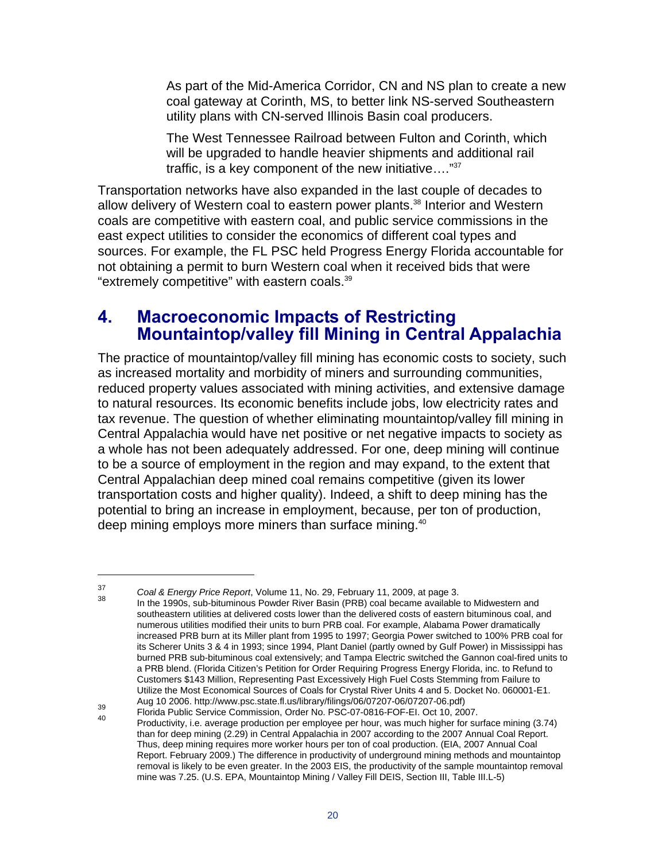As part of the Mid-America Corridor, CN and NS plan to create a new coal gateway at Corinth, MS, to better link NS-served Southeastern utility plans with CN-served Illinois Basin coal producers.

The West Tennessee Railroad between Fulton and Corinth, which will be upgraded to handle heavier shipments and additional rail traffic, is a key component of the new initiative.... $\frac{37}{2}$ 

Transportation networks have also expanded in the last couple of decades to allow delivery of Western coal to eastern power plants.<sup>38</sup> Interior and Western coals are competitive with eastern coal, and public service commissions in the east expect utilities to consider the economics of different coal types and sources. For example, the FL PSC held Progress Energy Florida accountable for not obtaining a permit to burn Western coal when it received bids that were "extremely competitive" with eastern coals.39

## **4. Macroeconomic Impacts of Restricting Mountaintop/valley fill Mining in Central Appalachia**

The practice of mountaintop/valley fill mining has economic costs to society, such as increased mortality and morbidity of miners and surrounding communities, reduced property values associated with mining activities, and extensive damage to natural resources. Its economic benefits include jobs, low electricity rates and tax revenue. The question of whether eliminating mountaintop/valley fill mining in Central Appalachia would have net positive or net negative impacts to society as a whole has not been adequately addressed. For one, deep mining will continue to be a source of employment in the region and may expand, to the extent that Central Appalachian deep mined coal remains competitive (given its lower transportation costs and higher quality). Indeed, a shift to deep mining has the potential to bring an increase in employment, because, per ton of production, deep mining employs more miners than surface mining.<sup>40</sup>

<sup>&</sup>lt;sup>37</sup> Coal & Energy Price Report, Volume 11, No. 29, February 11, 2009, at page 3.<br><sup>38</sup> In the 1990s, sub-bituminous Powder River Basin (PRB) coal became available to Midwestern and southeastern utilities at delivered costs lower than the delivered costs of eastern bituminous coal, and numerous utilities modified their units to burn PRB coal. For example, Alabama Power dramatically increased PRB burn at its Miller plant from 1995 to 1997; Georgia Power switched to 100% PRB coal for its Scherer Units 3 & 4 in 1993; since 1994, Plant Daniel (partly owned by Gulf Power) in Mississippi has burned PRB sub-bituminous coal extensively; and Tampa Electric switched the Gannon coal-fired units to a PRB blend. (Florida Citizen's Petition for Order Requiring Progress Energy Florida, inc. to Refund to Customers \$143 Million, Representing Past Excessively High Fuel Costs Stemming from Failure to Utilize the Most Economical Sources of Coals for Crystal River Units 4 and 5. Docket No. 060001-E1.<br>Aug 10 2006. http://www.psc.state.fl.us/library/filings/06/07207-06/07207-06.pdf)

<sup>19</sup> The Productivity, i.e. average production per employee per hour, was much higher for surface mining (3.74)<br>Productivity, i.e. average production per employee per hour, was much higher for surface mining (3.74) than for deep mining (2.29) in Central Appalachia in 2007 according to the 2007 Annual Coal Report. Thus, deep mining requires more worker hours per ton of coal production. (EIA, 2007 Annual Coal Report. February 2009.) The difference in productivity of underground mining methods and mountaintop removal is likely to be even greater. In the 2003 EIS, the productivity of the sample mountaintop removal mine was 7.25. (U.S. EPA, Mountaintop Mining / Valley Fill DEIS, Section III, Table III.L-5)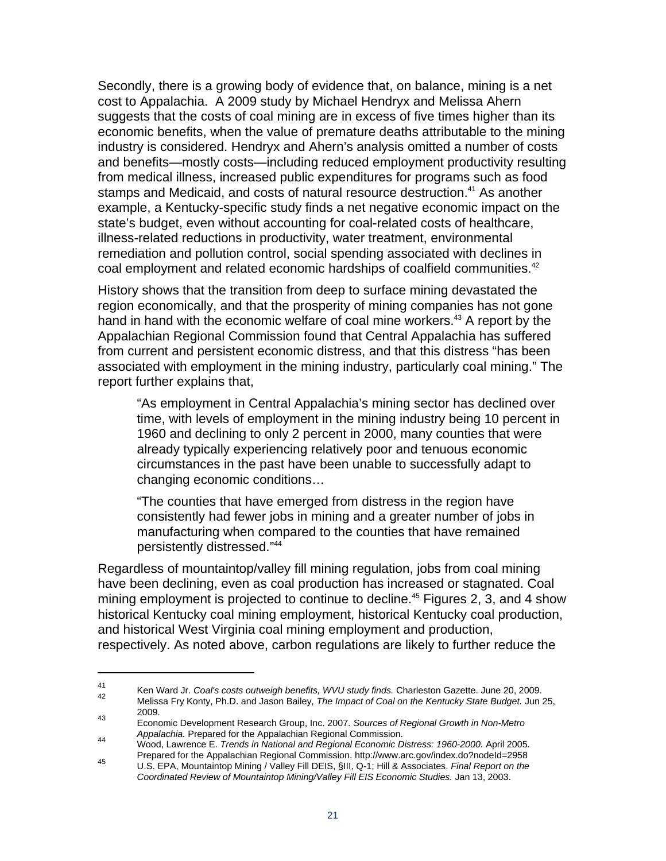Secondly, there is a growing body of evidence that, on balance, mining is a net cost to Appalachia. A 2009 study by Michael Hendryx and Melissa Ahern suggests that the costs of coal mining are in excess of five times higher than its economic benefits, when the value of premature deaths attributable to the mining industry is considered. Hendryx and Ahern's analysis omitted a number of costs and benefits—mostly costs—including reduced employment productivity resulting from medical illness, increased public expenditures for programs such as food stamps and Medicaid, and costs of natural resource destruction.<sup>41</sup> As another example, a Kentucky-specific study finds a net negative economic impact on the state's budget, even without accounting for coal-related costs of healthcare, illness-related reductions in productivity, water treatment, environmental remediation and pollution control, social spending associated with declines in coal employment and related economic hardships of coalfield communities.<sup>42</sup>

History shows that the transition from deep to surface mining devastated the region economically, and that the prosperity of mining companies has not gone hand in hand with the economic welfare of coal mine workers.<sup>43</sup> A report by the Appalachian Regional Commission found that Central Appalachia has suffered from current and persistent economic distress, and that this distress "has been associated with employment in the mining industry, particularly coal mining." The report further explains that,

"As employment in Central Appalachia's mining sector has declined over time, with levels of employment in the mining industry being 10 percent in 1960 and declining to only 2 percent in 2000, many counties that were already typically experiencing relatively poor and tenuous economic circumstances in the past have been unable to successfully adapt to changing economic conditions…

"The counties that have emerged from distress in the region have consistently had fewer jobs in mining and a greater number of jobs in manufacturing when compared to the counties that have remained persistently distressed."44

Regardless of mountaintop/valley fill mining regulation, jobs from coal mining have been declining, even as coal production has increased or stagnated. Coal mining employment is projected to continue to decline.<sup>45</sup> Figures 2, 3, and 4 show historical Kentucky coal mining employment, historical Kentucky coal production, and historical West Virginia coal mining employment and production, respectively. As noted above, carbon regulations are likely to further reduce the

<sup>41</sup> Ken Ward Jr. *Coal's costs outweigh benefits, WVU study finds.* Charleston Gazette. June 20, 2009. 42 Melissa Fry Konty, Ph.D. and Jason Bailey, *The Impact of Coal on the Kentucky State Budget.* Jun 25, 2009.

<sup>43</sup> Economic Development Research Group, Inc. 2007. *Sources of Regional Growth in Non-Metro* 

*Appalachia.* Prepared for the Appalachian Regional Commission. 44 Wood, Lawrence E. *Trends in National and Regional Economic Distress: 1960-2000.* April 2005. Prepared for the Appalachian Regional Commission. http://www.arc.gov/index.do?nodeId=2958 U.S. EPA, Mountaintop Mining / Valley Fill DEIS, §III, Q-1; Hill & Associates. *Final Report on the* 

*Coordinated Review of Mountaintop Mining/Valley Fill EIS Economic Studies.* Jan 13, 2003.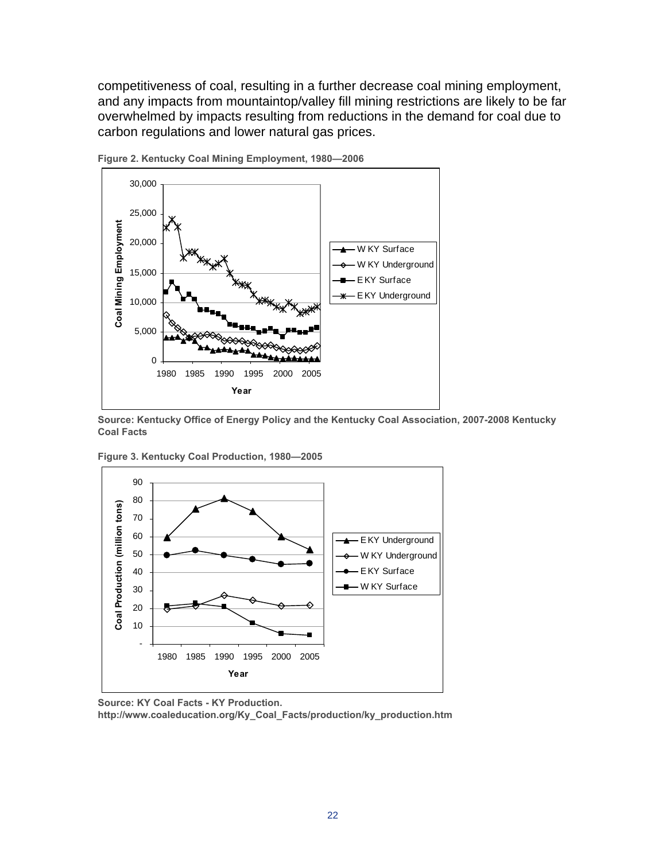competitiveness of coal, resulting in a further decrease coal mining employment, and any impacts from mountaintop/valley fill mining restrictions are likely to be far overwhelmed by impacts resulting from reductions in the demand for coal due to carbon regulations and lower natural gas prices.



**Figure 2. Kentucky Coal Mining Employment, 1980—2006** 

**Source: Kentucky Office of Energy Policy and the Kentucky Coal Association, 2007-2008 Kentucky Coal Facts** 



**Figure 3. Kentucky Coal Production, 1980—2005** 

**http://www.coaleducation.org/Ky\_Coal\_Facts/production/ky\_production.htm** 

**Source: KY Coal Facts - KY Production.**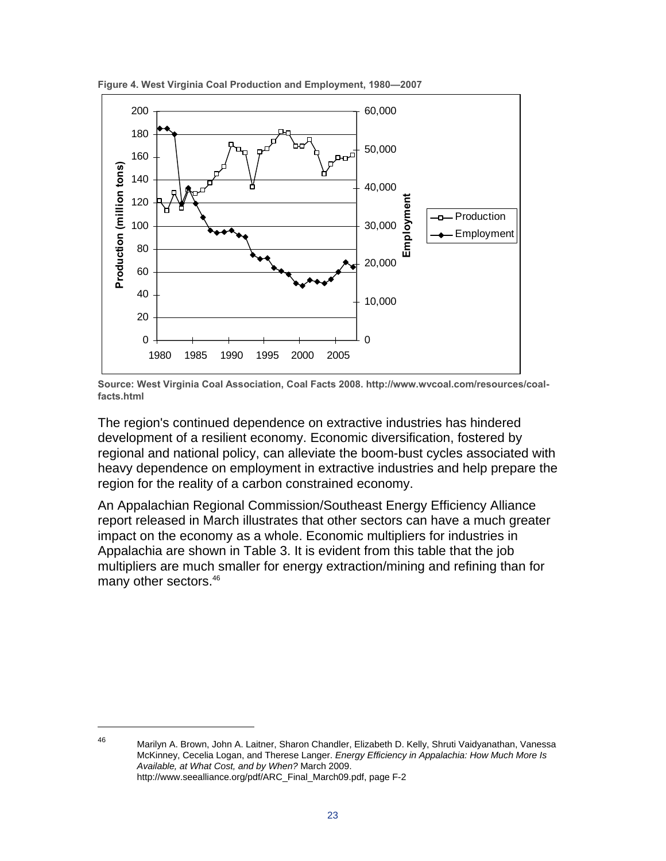

**Figure 4. West Virginia Coal Production and Employment, 1980—2007**

The region's continued dependence on extractive industries has hindered development of a resilient economy. Economic diversification, fostered by regional and national policy, can alleviate the boom-bust cycles associated with heavy dependence on employment in extractive industries and help prepare the region for the reality of a carbon constrained economy.

An Appalachian Regional Commission/Southeast Energy Efficiency Alliance report released in March illustrates that other sectors can have a much greater impact on the economy as a whole. Economic multipliers for industries in Appalachia are shown in Table 3. It is evident from this table that the job multipliers are much smaller for energy extraction/mining and refining than for many other sectors.<sup>46</sup>

**Source: West Virginia Coal Association, Coal Facts 2008. http://www.wvcoal.com/resources/coalfacts.html** 

 $\overline{a}$ 

<sup>46</sup> Marilyn A. Brown, John A. Laitner, Sharon Chandler, Elizabeth D. Kelly, Shruti Vaidyanathan, Vanessa McKinney, Cecelia Logan, and Therese Langer. *Energy Efficiency in Appalachia: How Much More Is Available, at What Cost, and by When?* March 2009. http://www.seealliance.org/pdf/ARC\_Final\_March09.pdf, page F-2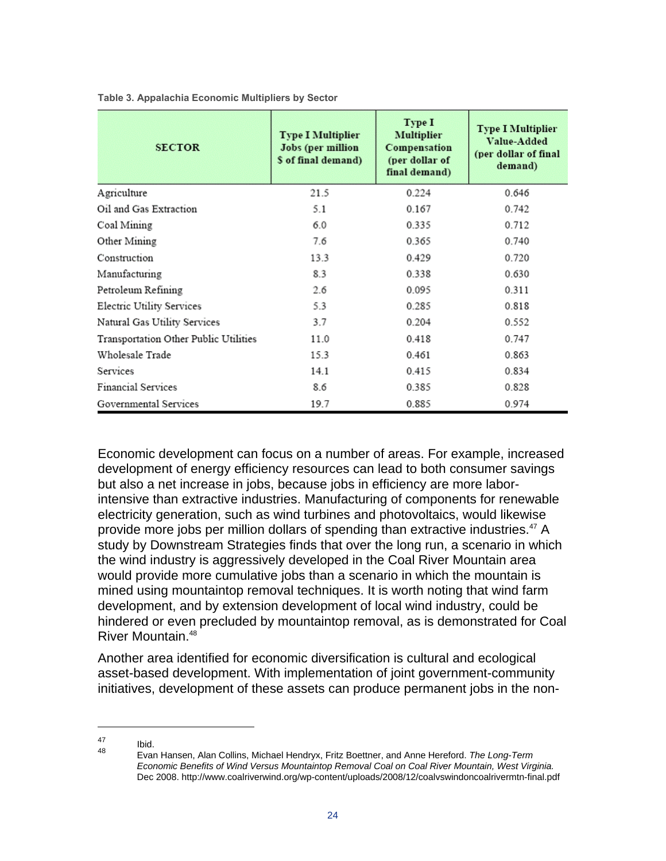| <b>SECTOR</b>                         | <b>Type I Multiplier</b><br>Jobs (per million<br>\$ of final demand) | Type I<br><b>Multiplier</b><br>Compensation<br>(per dollar of<br>final demand) | <b>Type I Multiplier</b><br>Value-Added<br>(per dollar of final<br>demand) |
|---------------------------------------|----------------------------------------------------------------------|--------------------------------------------------------------------------------|----------------------------------------------------------------------------|
| Agriculture                           | 21.5                                                                 | 0.224                                                                          | 0.646                                                                      |
| Oil and Gas Extraction                | 5.1                                                                  | 0.167                                                                          | 0.742                                                                      |
| Coal Mining                           | 6.0                                                                  | 0.335                                                                          | 0.712                                                                      |
| Other Mining                          | 7.6                                                                  | 0.365                                                                          | 0.740                                                                      |
| Construction                          | 13.3                                                                 | 0.429                                                                          | 0.720                                                                      |
| Manufacturing                         | 8.3                                                                  | 0.338                                                                          | 0.630                                                                      |
| Petroleum Refining                    | 2.6                                                                  | 0.095                                                                          | 0.311                                                                      |
| Electric Utility Services             | 5.3                                                                  | 0.285                                                                          | 0.818                                                                      |
| Natural Gas Utility Services          | 3.7                                                                  | 0.204                                                                          | 0.552                                                                      |
| Transportation Other Public Utilities | 11.0                                                                 | 0.418                                                                          | 0.747                                                                      |
| Wholesale Trade                       | 153                                                                  | 0.461                                                                          | 0.863                                                                      |
| Services                              | 14.1                                                                 | 0.415                                                                          | 0.834                                                                      |
| <b>Financial Services</b>             | 8.6                                                                  | 0.385                                                                          | 0.828                                                                      |
| Governmental Services                 | 19.7                                                                 | 0.885                                                                          | 0.974                                                                      |

**Table 3. Appalachia Economic Multipliers by Sector** 

Economic development can focus on a number of areas. For example, increased development of energy efficiency resources can lead to both consumer savings but also a net increase in jobs, because jobs in efficiency are more laborintensive than extractive industries. Manufacturing of components for renewable electricity generation, such as wind turbines and photovoltaics, would likewise provide more jobs per million dollars of spending than extractive industries.<sup>47</sup> A study by Downstream Strategies finds that over the long run, a scenario in which the wind industry is aggressively developed in the Coal River Mountain area would provide more cumulative jobs than a scenario in which the mountain is mined using mountaintop removal techniques. It is worth noting that wind farm development, and by extension development of local wind industry, could be hindered or even precluded by mountaintop removal, as is demonstrated for Coal River Mountain.<sup>48</sup>

Another area identified for economic diversification is cultural and ecological asset-based development. With implementation of joint government-community initiatives, development of these assets can produce permanent jobs in the non-

 $\frac{47}{48}$  Ibid.

<sup>48</sup> Evan Hansen, Alan Collins, Michael Hendryx, Fritz Boettner, and Anne Hereford. *The Long-Term Economic Benefits of Wind Versus Mountaintop Removal Coal on Coal River Mountain, West Virginia.*  Dec 2008. http://www.coalriverwind.org/wp-content/uploads/2008/12/coalvswindoncoalrivermtn-final.pdf